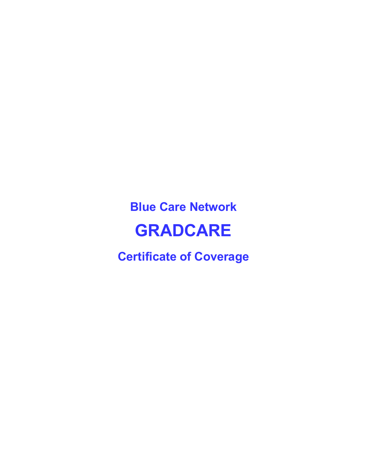**Blue Care Network GRADCARE**

**Certificate of Coverage**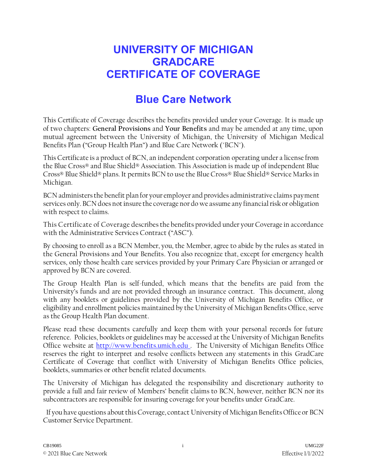# **UNIVERSITY OF MICHIGAN GRADCARE CERTIFICATE OF COVERAGE**

# **Blue Care Network**

This Certificate of Coverage describes the benefits provided under your Coverage. It is made up of two chapters: **General Provisions** and **Your Benefits** and may be amended at any time, upon mutual agreement between the University of Michigan, the University of Michigan Medical Benefits Plan ("Group Health Plan") and Blue Care Network ("BCN").

This Certificate is a product of BCN, an independent corporation operating under a license from the Blue Cross® and Blue Shield® Association. This Association is made up of independent Blue Cross® Blue Shield® plans. It permits BCN to use the Blue Cross® Blue Shield® Service Marks in Michigan.

BCN administers the benefit plan for your employer and provides administrative claims payment services only. BCN does not insure the coverage nor do we assume any financial risk or obligation with respect to claims.

This Certificate of Coverage describes the benefits provided under your Coverage in accordance with the Administrative Services Contract ("ASC").

By choosing to enroll as a BCN Member, you, the Member, agree to abide by the rules as stated in the General Provisions and Your Benefits. You also recognize that, except for emergency health services, only those health care services provided by your Primary Care Physician or arranged or approved by BCN are covered.

The Group Health Plan is self-funded, which means that the benefits are paid from the University's funds and are not provided through an insurance contract. This document, along with any booklets or guidelines provided by the University of Michigan Benefits Office, or eligibility and enrollment policies maintained by the University of Michigan Benefits Office, serve as the Group Health Plan document.

Please read these documents carefully and keep them with your personal records for future reference. Policies, booklets or guidelines may be accessed at the University of Michigan Benefits Office website at http://www.benefits.umich.edu . The University of Michigan Benefits Office reserves the right to interpret and resolve conflicts between any statements in this GradCare Certificate of Coverage that conflict with University of Michigan Benefits Office policies, booklets, summaries or other benefit related documents.

The University of Michigan has delegated the responsibility and discretionary authority to provide a full and fair review of Members' benefit claims to BCN, however, neither BCN nor its subcontractors are responsible for insuring coverage for your benefits under GradCare.

 If you have questions about this Coverage, contact University of Michigan Benefits Office or BCN Customer Service Department.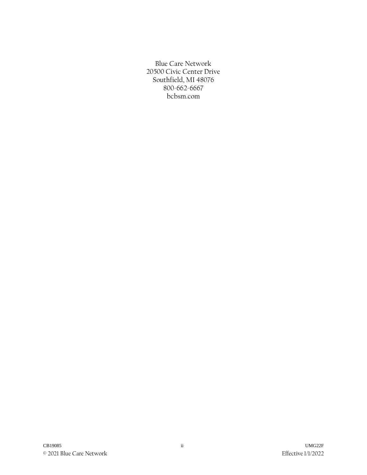Blue Care Network 20500 Civic Center Drive Southfield, MI 48076 800-662-6667 bcbsm.com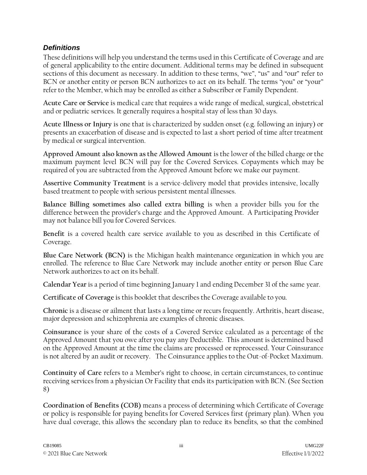#### *Definitions*

These definitions will help you understand the terms used in this Certificate of Coverage and are of general applicability to the entire document. Additional terms may be defined in subsequent sections of this document as necessary. In addition to these terms, "we", "us" and "our" refer to BCN or another entity or person BCN authorizes to act on its behalf. The terms "you" or "your" refer to the Member, which may be enrolled as either a Subscriber or Family Dependent.

**Acute Care or Service** is medical care that requires a wide range of medical, surgical, obstetrical and or pediatric services. It generally requires a hospital stay of less than 30 days.

**Acute Illness or Injury** is one that is characterized by sudden onset (e.g. following an injury) or presents an exacerbation of disease and is expected to last a short period of time after treatment by medical or surgical intervention.

**Approved Amount also known as the Allowed Amount** is the lower of the billed charge or the maximum payment level BCN will pay for the Covered Services. Copayments which may be required of you are subtracted from the Approved Amount before we make our payment.

**Assertive Community Treatment** is a service-delivery model that provides intensive, locally based treatment to people with serious persistent mental illnesses.

**Balance Billing sometimes also called extra billing** is when a provider bills you for the difference between the provider's charge and the Approved Amount. A Participating Provider may not balance bill you for Covered Services.

**Benefit** is a covered health care service available to you as described in this Certificate of Coverage.

**Blue Care Network (BCN)** is the Michigan health maintenance organization in which you are enrolled. The reference to Blue Care Network may include another entity or person Blue Care Network authorizes to act on its behalf.

**Calendar Year** is a period of time beginning January 1 and ending December 31 of the same year.

**Certificate of Coverage** is this booklet that describes the Coverage available to you.

**Chronic** is a disease or ailment that lasts a long time or recurs frequently. Arthritis, heart disease, major depression and schizophrenia are examples of chronic diseases.

**Coinsurance** is your share of the costs of a Covered Service calculated as a percentage of the Approved Amount that you owe after you pay any Deductible. This amount is determined based on the Approved Amount at the time the claims are processed or reprocessed. Your Coinsurance is not altered by an audit or recovery. The Coinsurance applies to the Out-of-Pocket Maximum.

**Continuity of Care** refers to a Member's right to choose, in certain circumstances, to continue receiving services from a physician Or Facility that ends its participation with BCN. (See Section 8)

**Coordination of Benefits (COB)** means a process of determining which Certificate of Coverage or policy is responsible for paying benefits for Covered Services first (primary plan). When you have dual coverage, this allows the secondary plan to reduce its benefits, so that the combined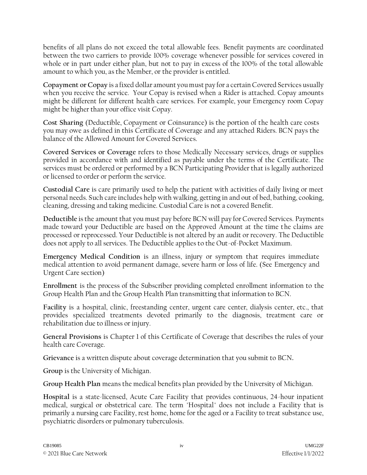benefits of all plans do not exceed the total allowable fees. Benefit payments are coordinated between the two carriers to provide 100% coverage whenever possible for services covered in whole or in part under either plan, but not to pay in excess of the 100% of the total allowable amount to which you, as the Member, or the provider is entitled.

**Copayment or Copay** is a fixed dollar amount you must pay for a certain Covered Services usually when you receive the service. Your Copay is revised when a Rider is attached. Copay amounts might be different for different health care services. For example, your Emergency room Copay might be higher than your office visit Copay.

**Cost Sharing** (Deductible, Copayment or Coinsurance) is the portion of the health care costs you may owe as defined in this Certificate of Coverage and any attached Riders. BCN pays the balance of the Allowed Amount for Covered Services.

**Covered Services or Coverage** refers to those Medically Necessary services, drugs or supplies provided in accordance with and identified as payable under the terms of the Certificate. The services must be ordered or performed by a BCN Participating Provider that is legally authorized or licensed to order or perform the service.

**Custodial Care** is care primarily used to help the patient with activities of daily living or meet personal needs. Such care includes help with walking, getting in and out of bed, bathing, cooking, cleaning, dressing and taking medicine. Custodial Care is not a covered Benefit.

**Deductible** is the amount that you must pay before BCN will pay for Covered Services. Payments made toward your Deductible are based on the Approved Amount at the time the claims are processed or reprocessed. Your Deductible is not altered by an audit or recovery. The Deductible does not apply to all services. The Deductible applies to the Out-of-Pocket Maximum.

**Emergency Medical Condition** is an illness, injury or symptom that requires immediate medical attention to avoid permanent damage, severe harm or loss of life. (See Emergency and Urgent Care section)

**Enrollment** is the process of the Subscriber providing completed enrollment information to the Group Health Plan and the Group Health Plan transmitting that information to BCN.

**Facility** is a hospital, clinic, freestanding center, urgent care center, dialysis center, etc., that provides specialized treatments devoted primarily to the diagnosis, treatment care or rehabilitation due to illness or injury.

**General Provisions** is Chapter 1 of this Certificate of Coverage that describes the rules of your health care Coverage.

**Grievance** is a written dispute about coverage determination that you submit to BCN**.**

**Group** is the University of Michigan.

**Group Health Plan** means the medical benefits plan provided by the University of Michigan.

**Hospital** is a state-licensed, Acute Care Facility that provides continuous, 24-hour inpatient medical, surgical or obstetrical care. The term "Hospital" does not include a Facility that is primarily a nursing care Facility, rest home, home for the aged or a Facility to treat substance use, psychiatric disorders or pulmonary tuberculosis.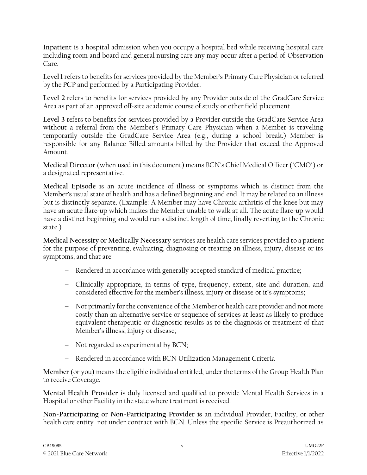**Inpatient** is a hospital admission when you occupy a hospital bed while receiving hospital care including room and board and general nursing care any may occur after a period of Observation Care.

**Level 1** refers to benefits for services provided by the Member's Primary Care Physician or referred by the PCP and performed by a Participating Provider.

**Level 2** refers to benefits for services provided by any Provider outside of the GradCare Service Area as part of an approved off-site academic course of study or other field placement.

**Level 3** refers to benefits for services provided by a Provider outside the GradCare Service Area without a referral from the Member's Primary Care Physician when a Member is traveling temporarily outside the GradCare Service Area (e.g., during a school break.) Member is responsible for any Balance Billed amounts billed by the Provider that exceed the Approved Amount.

**Medical Director** (when used in this document) means BCN's Chief Medical Officer ("CMO") or a designated representative.

**Medical Episode** is an acute incidence of illness or symptoms which is distinct from the Member's usual state of health and has a defined beginning and end. It may be related to an illness but is distinctly separate. (Example: A Member may have Chronic arthritis of the knee but may have an acute flare-up which makes the Member unable to walk at all. The acute flare-up would have a distinct beginning and would run a distinct length of time, finally reverting to the Chronic state.)

**Medical Necessity or Medically Necessary** services are health care services provided to a patient for the purpose of preventing, evaluating, diagnosing or treating an illness, injury, disease or its symptoms, and that are:

- − Rendered in accordance with generally accepted standard of medical practice;
- − Clinically appropriate, in terms of type, frequency, extent, site and duration, and considered effective for the member's illness, injury or disease or it's symptoms;
- − Not primarily for the convenience of the Member or health care provider and not more costly than an alternative service or sequence of services at least as likely to produce equivalent therapeutic or diagnostic results as to the diagnosis or treatment of that Member's illness, injury or disease;
- − Not regarded as experimental by BCN;
- − Rendered in accordance with BCN Utilization Management Criteria

**Member** (or you) means the eligible individual entitled, under the terms of the Group Health Plan to receive Coverage.

**Mental Health Provider** is duly licensed and qualified to provide Mental Health Services in a Hospital or other Facility in the state where treatment is received.

**Non-Participating or Non-Participating Provider is** an individual Provider, Facility, or other health care entity not under contract with BCN. Unless the specific Service is Preauthorized as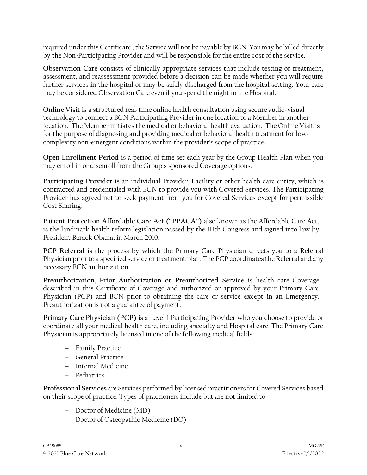required under this Certificate , the Service will not be payable by BCN. You may be billed directly by the Non-Participating Provider and will be responsible for the entire cost of the service.

**Observation Care** consists of clinically appropriate services that include testing or treatment, assessment, and reassessment provided before a decision can be made whether you will require further services in the hospital or may be safely discharged from the hospital setting. Your care may be considered Observation Care even if you spend the night in the Hospital.

**Online Visit** is a structured real-time online health consultation using secure audio-visual technology to connect a BCN Participating Provider in one location to a Member in another location. The Member initiates the medical or behavioral health evaluation. The Online Visit is for the purpose of diagnosing and providing medical or behavioral health treatment for lowcomplexity non-emergent conditions within the provider's scope of practice**.**

**Open Enrollment Period** is a period of time set each year by the Group Health Plan when you may enroll in or disenroll from the Group's sponsored Coverage options.

**Participating Provider** is an individual Provider, Facility or other health care entity, which is contracted and credentialed with BCN to provide you with Covered Services. The Participating Provider has agreed not to seek payment from you for Covered Services except for permissible Cost Sharing.

**Patient Protection Affordable Care Act ("PPACA")** also known as the Affordable Care Act, is the landmark health reform legislation passed by the 111th Congress and signed into law by President Barack Obama in March 2010.

**PCP Referral** is the process by which the Primary Care Physician directs you to a Referral Physician prior to a specified service or treatment plan. The PCP coordinates the Referral and any necessary BCN authorization.

**Preauthorization, Prior Authorization or Preauthorized Service** is health care Coverage described in this Certificate of Coverage and authorized or approved by your Primary Care Physician (PCP) and BCN prior to obtaining the care or service except in an Emergency. Preauthorization is not a guarantee of payment.

**Primary Care Physician (PCP)** is a Level 1 Participating Provider who you choose to provide or coordinate all your medical health care, including specialty and Hospital care. The Primary Care Physician is appropriately licensed in one of the following medical fields:

- − Family Practice
- − General Practice
- − Internal Medicine
- − Pediatrics

**Professional Services** are Services performed by licensed practitioners for Covered Services based on their scope of practice. Types of practioners include but are not limited to:

- − Doctor of Medicine (MD)
- − Doctor of Osteopathic Medicine (DO)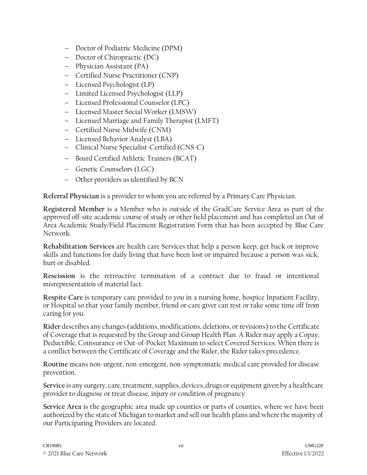- − Doctor of Podiatric Medicine (DPM)
- − Doctor of Chiropractic (DC)
- − Physician Assistant (PA)
- − Certified Nurse Practitioner (CNP)
- − Licensed Psychologist (LP)
- − Limited Licensed Psychologist (LLP)
- − Licensed Professional Counselor (LPC)
- − Licensed Master Social Worker (LMSW)
- − Licensed Marriage and Family Therapist (LMFT)
- − Certified Nurse Midwife (CNM)
- − Licensed Behavior Analyst (LBA)
- − Clinical Nurse Specialist-Certified (CNS-C)
- − Board Certified Athletic Trainers (BCAT)
- − Genetic Counselors (LGC)
- − Other providers as identified by BCN

**Referral Physician** is a provider to whom you are referred by a Primary Care Physician.

**Registered Member** is a Member who is outside of the GradCare Service Area as part of the approved off-site academic course of study or other field placement and has completed an Out of Area Academic Study/Field Placement Registration Form that has been accepted by Blue Care Network.

**Rehabilitation Services** are health care Services that help a person keep, get back or improve skills and functions for daily living that have been lost or impaired because a person was sick, hurt or disabled.

**Rescission** is the retroactive termination of a contract due to fraud or intentional misrepresentation of material fact.

**Respite Care** is temporary care provided to you in a nursing home, hospice Inpatient Facility, or Hospital so that your family member, friend or care giver can rest or take some time off from caring for you.

**Rider** describes any changes (additions, modifications, deletions, or revisions) to the Certificate of Coverage that is requested by the Group and Group Health Plan. A Rider may apply a Copay, Deductible, Coinsurance or Out-of-Pocket Maximum to select Covered Services. When there is a conflict between the Certificate of Coverage and the Rider, the Rider takes precedence.

**Routine** means non-urgent, non-emergent, non-symptomatic medical care provided for disease prevention**.**

**Service** is any surgery, care, treatment, supplies, devices, drugs or equipment given by a healthcare provider to diagnose or treat disease, injury or condition of pregnancy

**Service Area** is the geographic area made up counties or parts of counties, where we have been authorized by the state of Michigan to market and sell our health plans and where the majority of our Participating Providers are located.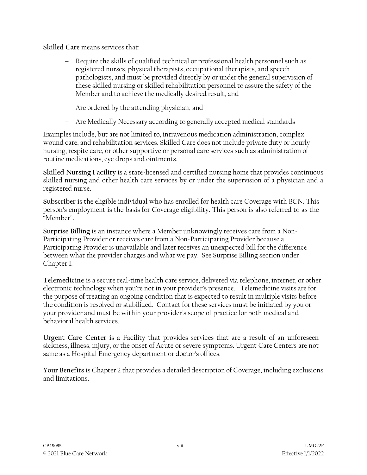**Skilled Care** means services that:

- − Require the skills of qualified technical or professional health personnel such as registered nurses, physical therapists, occupational therapists, and speech pathologists, and must be provided directly by or under the general supervision of these skilled nursing or skilled rehabilitation personnel to assure the safety of the Member and to achieve the medically desired result, and
- − Are ordered by the attending physician; and
- − Are Medically Necessary according to generally accepted medical standards

Examples include, but are not limited to, intravenous medication administration, complex wound care, and rehabilitation services. Skilled Care does not include private duty or hourly nursing, respite care, or other supportive or personal care services such as administration of routine medications, eye drops and ointments.

**Skilled Nursing Facility** is a state-licensed and certified nursing home that provides continuous skilled nursing and other health care services by or under the supervision of a physician and a registered nurse.

**Subscriber** is the eligible individual who has enrolled for health care Coverage with BCN. This person's employment is the basis for Coverage eligibility. This person is also referred to as the "Member".

**Surprise Billing** is an instance where a Member unknowingly receives care from a Non-Participating Provider or receives care from a Non-Participating Provider because a Participating Provider is unavailable and later receives an unexpected bill for the difference between what the provider charges and what we pay. See Surprise Billing section under Chapter 1.

**Telemedicine** is a secure real-time health care service, delivered via telephone, internet, or other electronic technology when you're not in your provider's presence. Telemedicine visits are for the purpose of treating an ongoing condition that is expected to result in multiple visits before the condition is resolved or stabilized. Contact for these services must be initiated by you or your provider and must be within your provider's scope of practice for both medical and behavioral health services.

**Urgent Care Center** is a Facility that provides services that are a result of an unforeseen sickness, illness, injury, or the onset of Acute or severe symptoms. Urgent Care Centers are not same as a Hospital Emergency department or doctor's offices.

**Your Benefits** is Chapter 2 that provides a detailed description of Coverage, including exclusions and limitations.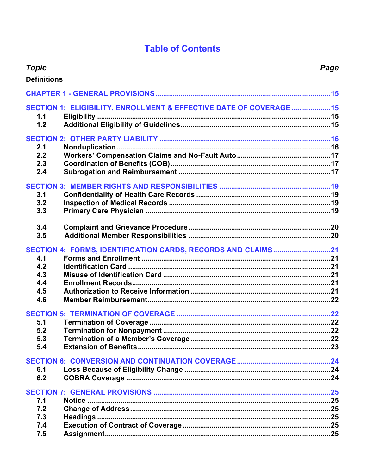# **Table of Contents**

| <b>Topic</b>       |                                                                    | Page |
|--------------------|--------------------------------------------------------------------|------|
| <b>Definitions</b> |                                                                    |      |
|                    |                                                                    |      |
|                    | SECTION 1: ELIGIBILITY, ENROLLMENT & EFFECTIVE DATE OF COVERAGE 15 |      |
| 1.1                |                                                                    |      |
| 1.2                |                                                                    |      |
|                    |                                                                    |      |
| 2.1                |                                                                    |      |
| 2.2                |                                                                    |      |
| 2.3                |                                                                    |      |
| 2.4                |                                                                    |      |
|                    |                                                                    |      |
| 3.1                |                                                                    |      |
| 3.2                |                                                                    |      |
| 3.3                |                                                                    |      |
| 3.4                |                                                                    |      |
| 3.5                |                                                                    |      |
|                    |                                                                    |      |
| 4.1                |                                                                    |      |
| 4.2                |                                                                    |      |
| 4.3                |                                                                    |      |
| 4.4                |                                                                    |      |
| 4.5                |                                                                    |      |
| 4.6                |                                                                    |      |
|                    |                                                                    |      |
| 5.1                |                                                                    |      |
| 5.2                |                                                                    |      |
| 5.3                |                                                                    |      |
| 5.4                |                                                                    |      |
|                    |                                                                    |      |
| 6.1                |                                                                    |      |
| 6.2                |                                                                    |      |
|                    |                                                                    |      |
| 7.1                |                                                                    |      |
| 7.2                |                                                                    |      |
| 7.3                |                                                                    |      |
| 7.4                |                                                                    |      |
| 7.5                |                                                                    |      |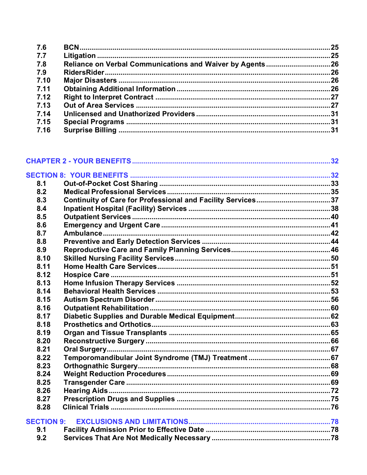| 8.1               |  |
|-------------------|--|
| 8.2               |  |
| 8.3               |  |
| 8.4               |  |
| 8.5               |  |
| 8.6               |  |
| 8.7               |  |
| 8.8               |  |
| 8.9               |  |
| 8.10              |  |
| 8.11              |  |
| 8.12              |  |
| 8.13              |  |
| 8.14              |  |
| 8.15              |  |
| 8.16              |  |
| 8.17              |  |
| 8.18              |  |
| 8.19              |  |
| 8.20              |  |
| 8.21              |  |
| 8.22              |  |
| 8.23              |  |
| 8.24              |  |
| 8.25              |  |
| 8.26              |  |
| 8.27              |  |
| 8.28              |  |
| <b>SECTION 9:</b> |  |
| 9.1               |  |
| 9.2               |  |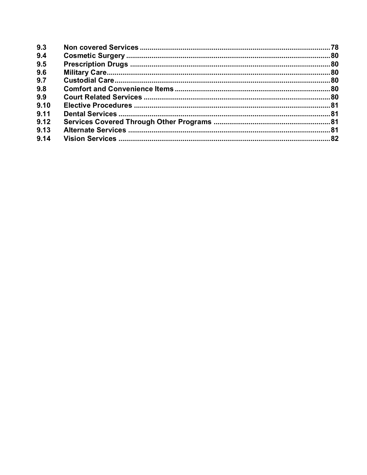| 9.3  |  |
|------|--|
| 9.4  |  |
| 9.5  |  |
| 9.6  |  |
| 9.7  |  |
| 9.8  |  |
| 9.9  |  |
| 9.10 |  |
| 9.11 |  |
| 9.12 |  |
| 9.13 |  |
| 9.14 |  |
|      |  |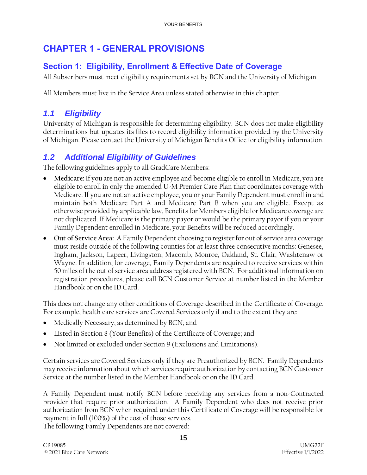# <span id="page-12-0"></span>**CHAPTER 1 - GENERAL PROVISIONS**

# <span id="page-12-1"></span>**Section 1: Eligibility, Enrollment & Effective Date of Coverage**

All Subscribers must meet eligibility requirements set by BCN and the University of Michigan.

All Members must live in the Service Area unless stated otherwise in this chapter.

# <span id="page-12-2"></span>*1.1 Eligibility*

University of Michigan is responsible for determining eligibility. BCN does not make eligibility determinations but updates its files to record eligibility information provided by the University of Michigan. Please contact the University of Michigan Benefits Office for eligibility information.

## <span id="page-12-3"></span>*1.2 Additional Eligibility of Guidelines*

The following guidelines apply to all GradCare Members:

- **Medicare:** If you are not an active employee and become eligible to enroll in Medicare, you are eligible to enroll in only the amended U-M Premier Care Plan that coordinates coverage with Medicare. If you are not an active employee, you or your Family Dependent must enroll in and maintain both Medicare Part A and Medicare Part B when you are eligible. Except as otherwise provided by applicable law, Benefits for Members eligible for Medicare coverage are not duplicated. If Medicare is the primary payor or would be the primary payor if you or your Family Dependent enrolled in Medicare, your Benefits will be reduced accordingly.
- **Out of Service Area:** A Family Dependent choosing to register for out of service area coverage must reside outside of the following counties for at least three consecutive months: Genesee, Ingham, Jackson, Lapeer, Livingston, Macomb, Monroe, Oakland, St. Clair, Washtenaw or Wayne. In addition, for coverage, Family Dependents are required to receive services within 50 miles of the out of service area address registered with BCN. For additional information on registration procedures, please call BCN Customer Service at number listed in the Member Handbook or on the ID Card.

This does not change any other conditions of Coverage described in the Certificate of Coverage. For example, health care services are Covered Services only if and to the extent they are:

- Medically Necessary, as determined by BCN; and
- Listed in Section 8 (Your Benefits) of the Certificate of Coverage; and
- Not limited or excluded under Section 9 (Exclusions and Limitations).

Certain services are Covered Services only if they are Preauthorized by BCN. Family Dependents may receive information about which services require authorization by contacting BCN Customer Service at the number listed in the Member Handbook or on the ID Card.

A Family Dependent must notify BCN before receiving any services from a non-Contracted provider that require prior authorization. A Family Dependent who does not receive prior authorization from BCN when required under this Certificate of Coverage will be responsible for payment in full (100%) of the cost of those services.

The following Family Dependents are not covered: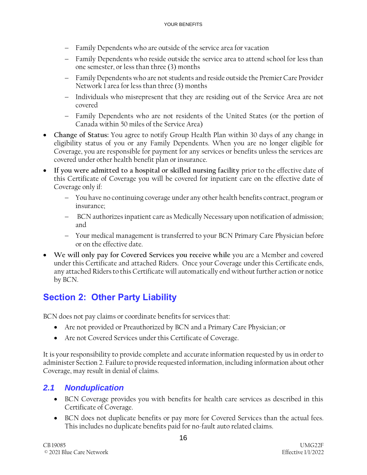- − Family Dependents who are outside of the service area for vacation
- − Family Dependents who reside outside the service area to attend school for less than one semester, or less than three (3) months
- − Family Dependents who are not students and reside outside the Premier Care Provider Network 1 area for less than three (3) months
- − Individuals who misrepresent that they are residing out of the Service Area are not covered
- − Family Dependents who are not residents of the United States (or the portion of Canada within 50 miles of the Service Area)
- **Change of Status:** You agree to notify Group Health Plan within 30 days of any change in eligibility status of you or any Family Dependents. When you are no longer eligible for Coverage, you are responsible for payment for any services or benefits unless the services are covered under other health benefit plan or insurance.
- **If you were admitted to a hospital or skilled nursing facility** prior to the effective date of this Certificate of Coverage you will be covered for inpatient care on the effective date of Coverage only if:
	- − You have no continuing coverage under any other health benefits contract, program or insurance;
	- − BCN authorizes inpatient care as Medically Necessary upon notification of admission; and
	- − Your medical management is transferred to your BCN Primary Care Physician before or on the effective date.
- **We will only pay for Covered Services you receive while** you are a Member and covered under this Certificate and attached Riders. Once your Coverage under this Certificate ends, any attached Riders to this Certificate will automatically end without further action or notice by BCN.

# <span id="page-13-0"></span>**Section 2: Other Party Liability**

BCN does not pay claims or coordinate benefits for services that:

- Are not provided or Preauthorized by BCN and a Primary Care Physician; or
- Are not Covered Services under this Certificate of Coverage.

It is your responsibility to provide complete and accurate information requested by us in order to administer Section 2. Failure to provide requested information, including information about other Coverage, may result in denial of claims.

# <span id="page-13-1"></span>*2.1 Nonduplication*

- BCN Coverage provides you with benefits for health care services as described in this Certificate of Coverage.
- BCN does not duplicate benefits or pay more for Covered Services than the actual fees. This includes no duplicate benefits paid for no-fault auto related claims.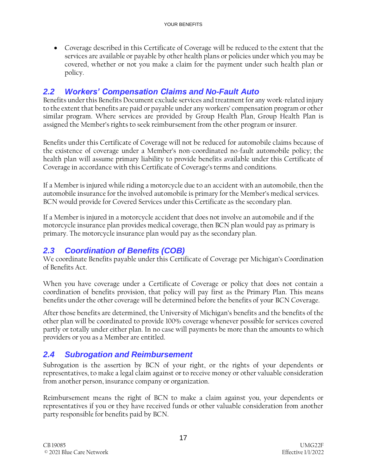• Coverage described in this Certificate of Coverage will be reduced to the extent that the services are available or payable by other health plans or policies under which you may be covered, whether or not you make a claim for the payment under such health plan or policy.

# <span id="page-14-0"></span>*2.2 Workers' Compensation Claims and No-Fault Auto*

Benefits under this Benefits Document exclude services and treatment for any work-related injury to the extent that benefits are paid or payable under any workers' compensation program or other similar program. Where services are provided by Group Health Plan, Group Health Plan is assigned the Member's rights to seek reimbursement from the other program or insurer.

Benefits under this Certificate of Coverage will not be reduced for automobile claims because of the existence of coverage under a Member's non-coordinated no-fault automobile policy; the health plan will assume primary liability to provide benefits available under this Certificate of Coverage in accordance with this Certificate of Coverage's terms and conditions.

If a Member is injured while riding a motorcycle due to an accident with an automobile, then the automobile insurance for the involved automobile is primary for the Member's medical services. BCN would provide for Covered Services under this Certificate as the secondary plan.

If a Member is injured in a motorcycle accident that does not involve an automobile and if the motorcycle insurance plan provides medical coverage, then BCN plan would pay as primary is primary. The motorcycle insurance plan would pay as the secondary plan.

# <span id="page-14-1"></span>*2.3 Coordination of Benefits (COB)*

We coordinate Benefits payable under this Certificate of Coverage per Michigan's Coordination of Benefits Act.

When you have coverage under a Certificate of Coverage or policy that does not contain a coordination of benefits provision, that policy will pay first as the Primary Plan. This means benefits under the other coverage will be determined before the benefits of your BCN Coverage.

After those benefits are determined, the University of Michigan's benefits and the benefits of the other plan will be coordinated to provide 100% coverage whenever possible for services covered partly or totally under either plan. In no case will payments be more than the amounts to which providers or you as a Member are entitled.

# <span id="page-14-2"></span>*2.4 Subrogation and Reimbursement*

Subrogation is the assertion by BCN of your right, or the rights of your dependents or representatives, to make a legal claim against or to receive money or other valuable consideration from another person, insurance company or organization.

Reimbursement means the right of BCN to make a claim against you, your dependents or representatives if you or they have received funds or other valuable consideration from another party responsible for benefits paid by BCN.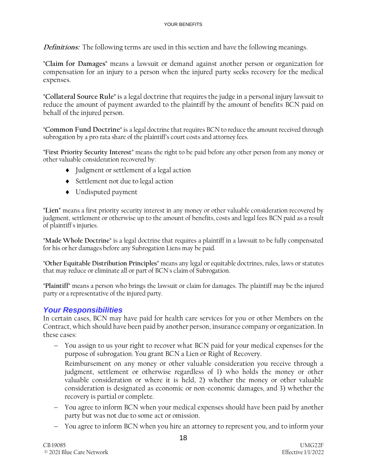**Definitions:** The following terms are used in this section and have the following meanings.

**"Claim for Damages"** means a lawsuit or demand against another person or organization for compensation for an injury to a person when the injured party seeks recovery for the medical expenses.

**"Collateral Source Rule"** is a legal doctrine that requires the judge in a personal injury lawsuit to reduce the amount of payment awarded to the plaintiff by the amount of benefits BCN paid on behalf of the injured person.

**"Common Fund Doctrine"** is a legal doctrine that requires BCN to reduce the amount received through subrogation by a pro rata share of the plaintiff's court costs and attorney fees.

**"First Priority Security Interest"** means the right to be paid before any other person from any money or other valuable consideration recovered by:

- Judgment or settlement of a legal action
- ◆ Settlement not due to legal action
- Undisputed payment

**"Lien"** means a first priority security interest in any money or other valuable consideration recovered by judgment, settlement or otherwise up to the amount of benefits, costs and legal fees BCN paid as a result of plaintiff's injuries.

**"Made Whole Doctrine"** is a legal doctrine that requires a plaintiff in a lawsuit to be fully compensated for his or her damages before any Subrogation Liens may be paid.

**"Other Equitable Distribution Principles"** means any legal or equitable doctrines, rules, laws or statutes that may reduce or eliminate all or part of BCN's claim of Subrogation.

**"Plaintiff"** means a person who brings the lawsuit or claim for damages. The plaintiff may be the injured party or a representative of the injured party.

#### *Your Responsibilities*

In certain cases, BCN may have paid for health care services for you or other Members on the Contract, which should have been paid by another person, insurance company or organization. In these cases:

− You assign to us your right to recover what BCN paid for your medical expenses for the purpose of subrogation. You grant BCN a Lien or Right of Recovery.

Reimbursement on any money or other valuable consideration you receive through a judgment, settlement or otherwise regardless of 1) who holds the money or other valuable consideration or where it is held, 2) whether the money or other valuable consideration is designated as economic or non-economic damages, and 3) whether the recovery is partial or complete.

- − You agree to inform BCN when your medical expenses should have been paid by another party but was not due to some act or omission.
- − You agree to inform BCN when you hire an attorney to represent you, and to inform your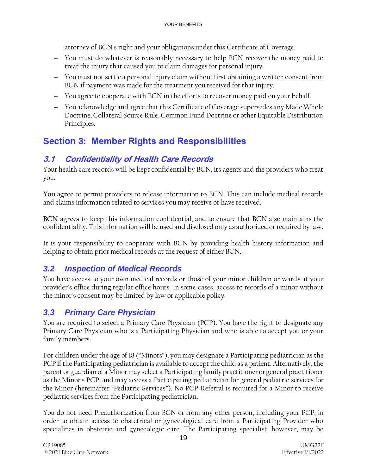attorney of BCN's right and your obligations under this Certificate of Coverage.

- − You must do whatever is reasonably necessary to help BCN recover the money paid to treat the injury that caused you to claim damages for personal injury.
- − You must not settle a personal injury claim without first obtaining a written consent from BCN if payment was made for the treatment you received for that injury.
- − You agree to cooperate with BCN in the efforts to recover money paid on your behalf.
- − You acknowledge and agree that this Certificate of Coverage supersedes any Made Whole Doctrine, Collateral Source Rule, Common Fund Doctrine or other Equitable Distribution Principles.

# <span id="page-16-0"></span>**Section 3: Member Rights and Responsibilities**

## <span id="page-16-1"></span>**3.1 Confidentiality of Health Care Records**

Your health care records will be kept confidential by BCN, its agents and the providers who treat you.

**You agree** to permit providers to release information to BCN. This can include medical records and claims information related to services you may receive or have received.

**BCN agrees** to keep this information confidential, and to ensure that BCN also maintains the confidentiality. This information will be used and disclosed only as authorized or required by law.

It is your responsibility to cooperate with BCN by providing health history information and helping to obtain prior medical records at the request of either BCN.

## <span id="page-16-2"></span>*3.2 Inspection of Medical Records*

You have access to your own medical records or those of your minor children or wards at your provider's office during regular office hours. In some cases, access to records of a minor without the minor's consent may be limited by law or applicable policy.

# <span id="page-16-3"></span>*3.3 Primary Care Physician*

You are required to select a Primary Care Physician (PCP). You have the right to designate any Primary Care Physician who is a Participating Physician and who is able to accept you or your family members.

For children under the age of 18 ("Minors"), you may designate a Participating pediatrician as the PCP if the Participating pediatrician is available to accept the child as a patient. Alternatively, the parent or guardian of a Minor may select a Participating family practitioner or general practitioner as the Minor's PCP, and may access a Participating pediatrician for general pediatric services for the Minor (hereinafter "Pediatric Services"). No PCP Referral is required for a Minor to receive pediatric services from the Participating pediatrician.

You do not need Preauthorization from BCN or from any other person, including your PCP, in order to obtain access to obstetrical or gynecological care from a Participating Provider who specializes in obstetric and gynecologic care. The Participating specialist, however, may be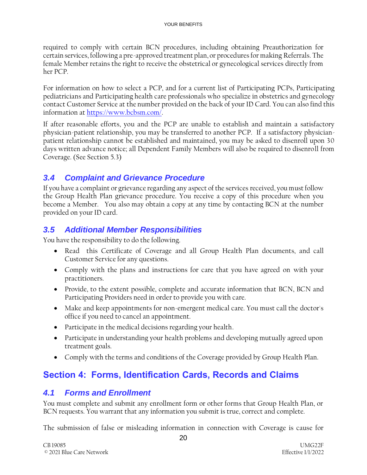required to comply with certain BCN procedures, including obtaining Preauthorization for certain services, following a pre-approved treatment plan, or procedures for making Referrals. The female Member retains the right to receive the obstetrical or gynecological services directly from her PCP.

For information on how to select a PCP, and for a current list of Participating PCPs, Participating pediatricians and Participating health care professionals who specialize in obstetrics and gynecology contact Customer Service at the number provided on the back of your ID Card. You can also find this information a[t https://www.bcbsm.com/.](https://www.bcbsm.com/)

If after reasonable efforts, you and the PCP are unable to establish and maintain a satisfactory physician-patient relationship, you may be transferred to another PCP. If a satisfactory physicianpatient relationship cannot be established and maintained, you may be asked to disenroll upon 30 days written advance notice; all Dependent Family Members will also be required to disenroll from Coverage. (See Section 5.3)

## <span id="page-17-0"></span>*3.4 Complaint and Grievance Procedure*

If you have a complaint or grievance regarding any aspect of the services received, you must follow the Group Health Plan grievance procedure. You receive a copy of this procedure when you become a Member. You also may obtain a copy at any time by contacting BCN at the number provided on your ID card.

## <span id="page-17-1"></span>*3.5 Additional Member Responsibilities*

You have the responsibility to do the following.

- Read this Certificate of Coverage and all Group Health Plan documents, and call Customer Service for any questions.
- Comply with the plans and instructions for care that you have agreed on with your practitioners.
- Provide, to the extent possible, complete and accurate information that BCN, BCN and Participating Providers need in order to provide you with care.
- Make and keep appointments for non-emergent medical care. You must call the doctor's office if you need to cancel an appointment.
- Participate in the medical decisions regarding your health.
- Participate in understanding your health problems and developing mutually agreed upon treatment goals.
- Comply with the terms and conditions of the Coverage provided by Group Health Plan.

# <span id="page-17-2"></span>**Section 4: Forms, Identification Cards, Records and Claims**

## <span id="page-17-3"></span>*4.1 Forms and Enrollment*

You must complete and submit any enrollment form or other forms that Group Health Plan, or BCN requests. You warrant that any information you submit is true, correct and complete.

The submission of false or misleading information in connection with Coverage is cause for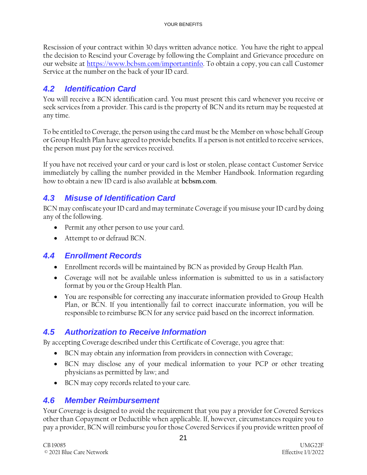Rescission of your contract within 30 days written advance notice. You have the right to appeal the decision to Rescind your Coverage by following the Complaint and Grievance procedure on our website at [https://www.bcbsm.com/importantinfo.](https://www.bcbsm.com/importantinfo) To obtain a copy, you can call Customer Service at the number on the back of your ID card.

## <span id="page-18-0"></span>*4.2 Identification Card*

You will receive a BCN identification card. You must present this card whenever you receive or seek services from a provider. This card is the property of BCN and its return may be requested at any time.

To be entitled to Coverage, the person using the card must be the Member on whose behalf Group or Group Health Plan have agreed to provide benefits. If a person is not entitled to receive services, the person must pay for the services received.

If you have not received your card or your card is lost or stolen, please contact Customer Service immediately by calling the number provided in the Member Handbook. Information regarding how to obtain a new ID card is also available at **bcbsm.com**.

## <span id="page-18-1"></span>*4.3 Misuse of Identification Card*

BCN may confiscate your ID card and may terminate Coverage if you misuse your ID card by doing any of the following.

- Permit any other person to use your card.
- Attempt to or defraud BCN.

## <span id="page-18-2"></span>*4.4 Enrollment Records*

- Enrollment records will be maintained by BCN as provided by Group Health Plan.
- Coverage will not be available unless information is submitted to us in a satisfactory format by you or the Group Health Plan.
- You are responsible for correcting any inaccurate information provided to Group Health Plan, or BCN. If you intentionally fail to correct inaccurate information, you will be responsible to reimburse BCN for any service paid based on the incorrect information.

# <span id="page-18-3"></span>*4.5 Authorization to Receive Information*

By accepting Coverage described under this Certificate of Coverage, you agree that:

- BCN may obtain any information from providers in connection with Coverage;
- BCN may disclose any of your medical information to your PCP or other treating physicians as permitted by law; and
- BCN may copy records related to your care.

## *4.6 Member Reimbursement*

Your Coverage is designed to avoid the requirement that you pay a provider for Covered Services other than Copayment or Deductible when applicable. If, however, circumstances require you to pay a provider, BCN will reimburse you for those Covered Services if you provide written proof of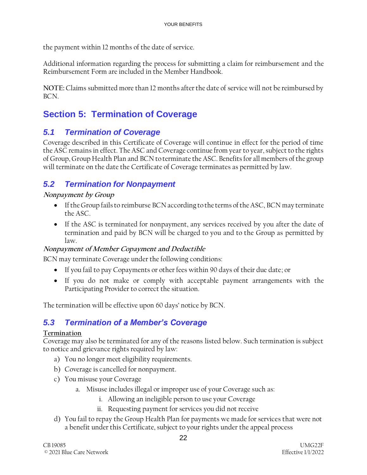the payment within 12 months of the date of service.

Additional information regarding the process for submitting a claim for reimbursement and the Reimbursement Form are included in the Member Handbook.

**NOTE:** Claims submitted more than 12 months after the date of service will not be reimbursed by BCN.

# <span id="page-19-0"></span>**Section 5: Termination of Coverage**

## <span id="page-19-1"></span>*5.1 Termination of Coverage*

Coverage described in this Certificate of Coverage will continue in effect for the period of time the ASC remains in effect. The ASC and Coverage continue from year to year, subject to the rights of Group, Group Health Plan and BCN to terminate the ASC. Benefits for all members of the group will terminate on the date the Certificate of Coverage terminates as permitted by law.

## <span id="page-19-2"></span>*5.2 Termination for Nonpayment*

#### **Nonpayment by Group**

- If the Group fails to reimburse BCN according to the terms of the ASC, BCN may terminate the ASC.
- If the ASC is terminated for nonpayment, any services received by you after the date of termination and paid by BCN will be charged to you and to the Group as permitted by law.

#### **Nonpayment of Member Copayment and Deductible**

BCN may terminate Coverage under the following conditions:

- If you fail to pay Copayments or other fees within 90 days of their due date; or
- If you do not make or comply with acceptable payment arrangements with the Participating Provider to correct the situation.

The termination will be effective upon 60 days' notice by BCN.

## <span id="page-19-3"></span>*5.3 Termination of a Member's Coverage*

#### **Termination**

Coverage may also be terminated for any of the reasons listed below. Such termination is subject to notice and grievance rights required by law:

- a) You no longer meet eligibility requirements.
- b) Coverage is cancelled for nonpayment.
- c) You misuse your Coverage
	- a. Misuse includes illegal or improper use of your Coverage such as:
		- i. Allowing an ineligible person to use your Coverage
		- ii. Requesting payment for services you did not receive
- d) You fail to repay the Group Health Plan for payments we made for services that were not a benefit under this Certificate, subject to your rights under the appeal process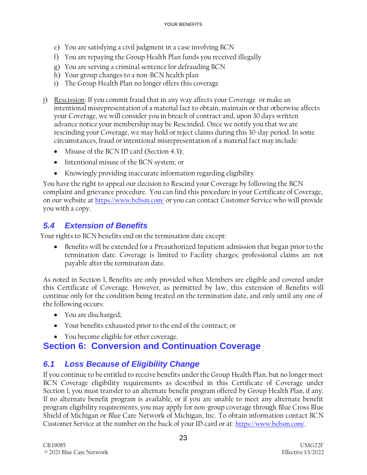- e) You are satisfying a civil judgment in a case involving BCN
- f) You are repaying the Group Health Plan funds you received illegally
- g) You are serving a criminal sentence for defrauding BCN
- h) Your group changes to a non-BCN health plan
- i) The Group Health Plan no longer offers this coverage
- j) Rescission: If you commit fraud that in any way affects your Coverage or make an intentional misrepresentation of a material fact to obtain, maintain or that otherwise affects your Coverage, we will consider you in breach of contract and, upon 30 days written advance notice your membership may be Rescinded. Once we notify you that we are rescinding your Coverage, we may hold or reject claims during this 30-day period. In some circumstances, fraud or intentional misrepresentation of a material fact may include:
	- Misuse of the BCN ID card (Section 4.3);
	- Intentional misuse of the BCN system; or
	- Knowingly providing inaccurate information regarding eligibility

You have the right to appeal our decision to Rescind your Coverage by following the BCN complaint and grievance procedure. You can find this procedure in your Certificate of Coverage, on our website at <https://www.bcbsm.com/> or you can contact Customer Service who will provide you with a copy.

## <span id="page-20-0"></span>*5.4 Extension of Benefits*

Your rights to BCN benefits end on the termination date except:

• Benefits will be extended for a Preauthorized Inpatient admission that began prior to the termination date. Coverage is limited to Facility charges; professional claims are not payable after the termination date.

As noted in Section 1, Benefits are only provided when Members are eligible and covered under this Certificate of Coverage. However, as permitted by law, this extension of Benefits will continue only for the condition being treated on the termination date, and only until any one of the following occurs:

- You are discharged;
- Your benefits exhausted prior to the end of the contract; or
- You become eligible for other coverage.

# <span id="page-20-1"></span>**Section 6: Conversion and Continuation Coverage**

## <span id="page-20-2"></span>*6.1 Loss Because of Eligibility Change*

If you continue to be entitled to receive benefits under the Group Health Plan, but no longer meet BCN Coverage eligibility requirements as described in this Certificate of Coverage under Section 1, you must transfer to an alternate benefit program offered by Group Health Plan, if any. If no alternate benefit program is available, or if you are unable to meet any alternate benefit program eligibility requirements, you may apply for non-group coverage through Blue Cross Blue Shield of Michigan or Blue Care Network of Michigan, Inc. To obtain information contact BCN Customer Service at the number on the back of your ID card or at: <https://www.bcbsm.com/>.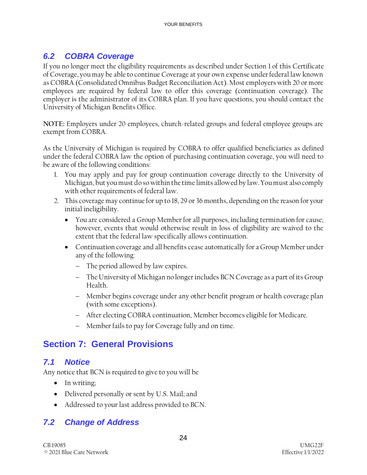## <span id="page-21-0"></span>*6.2 COBRA Coverage*

If you no longer meet the eligibility requirements as described under Section 1 of this Certificate of Coverage, you may be able to continue Coverage at your own expense under federal law known as COBRA (Consolidated Omnibus Budget Reconciliation Act). Most employers with 20 or more employees are required by federal law to offer this coverage (continuation coverage). The employer is the administrator of its COBRA plan. If you have questions, you should contact the University of Michigan Benefits Office.

**NOTE:** Employers under 20 employees, church-related groups and federal employee groups are exempt from COBRA.

As the University of Michigan is required by COBRA to offer qualified beneficiaries as defined under the federal COBRA law the option of purchasing continuation coverage, you will need to be aware of the following conditions:

- 1. You may apply and pay for group continuation coverage directly to the University of Michigan, but you must do so within the time limits allowed by law. You must also comply with other requirements of federal law.
- 2. This coverage may continue for up to 18, 29 or 36 months, depending on the reason for your initial ineligibility.
	- You are considered a Group Member for all purposes, including termination for cause; however, events that would otherwise result in loss of eligibility are waived to the extent that the federal law specifically allows continuation.
	- Continuation coverage and all benefits cease automatically for a Group Member under any of the following:
		- − The period allowed by law expires.
		- − The University of Michigan no longer includes BCN Coverage as a part of its Group Health.
		- − Member begins coverage under any other benefit program or health coverage plan (with some exceptions).
		- − After electing COBRA continuation, Member becomes eligible for Medicare.
		- − Member fails to pay for Coverage fully and on time.

# <span id="page-21-1"></span>**Section 7: General Provisions**

# <span id="page-21-2"></span>*7.1 Notice*

Any notice that BCN is required to give to you will be

- In writing;
- Delivered personally or sent by U.S. Mail; and
- Addressed to your last address provided to BCN.

# <span id="page-21-3"></span>*7.2 Change of Address*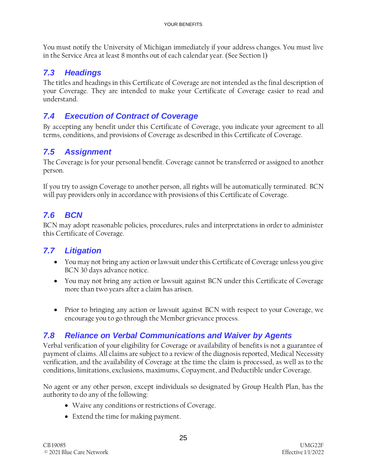You must notify the University of Michigan immediately if your address changes. You must live in the Service Area at least 8 months out of each calendar year. (See Section 1)

# <span id="page-22-0"></span>*7.3 Headings*

The titles and headings in this Certificate of Coverage are not intended as the final description of your Coverage. They are intended to make your Certificate of Coverage easier to read and understand.

# <span id="page-22-1"></span>*7.4 Execution of Contract of Coverage*

By accepting any benefit under this Certificate of Coverage, you indicate your agreement to all terms, conditions, and provisions of Coverage as described in this Certificate of Coverage.

# <span id="page-22-2"></span>*7.5 Assignment*

The Coverage is for your personal benefit. Coverage cannot be transferred or assigned to another person.

If you try to assign Coverage to another person, all rights will be automatically terminated. BCN will pay providers only in accordance with provisions of this Certificate of Coverage.

# <span id="page-22-3"></span>*7.6 BCN*

BCN may adopt reasonable policies, procedures, rules and interpretations in order to administer this Certificate of Coverage.

# <span id="page-22-4"></span>*7.7 Litigation*

- You may not bring any action or lawsuit under this Certificate of Coverage unless you give BCN 30 days advance notice.
- You may not bring any action or lawsuit against BCN under this Certificate of Coverage more than two years after a claim has arisen.
- Prior to bringing any action or lawsuit against BCN with respect to your Coverage, we encourage you to go through the Member grievance process.

# <span id="page-22-5"></span>*7.8 Reliance on Verbal Communications and Waiver by Agents*

Verbal verification of your eligibility for Coverage or availability of benefits is not a guarantee of payment of claims. All claims are subject to a review of the diagnosis reported, Medical Necessity verification, and the availability of Coverage at the time the claim is processed, as well as to the conditions, limitations, exclusions, maximums, Copayment, and Deductible under Coverage.

No agent or any other person, except individuals so designated by Group Health Plan, has the authority to do any of the following:

- Waive any conditions or restrictions of Coverage.
- Extend the time for making payment.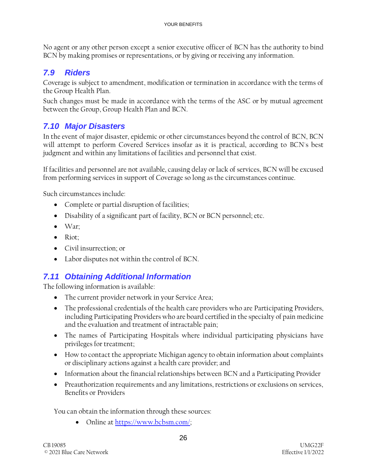No agent or any other person except a senior executive officer of BCN has the authority to bind BCN by making promises or representations, or by giving or receiving any information.

### <span id="page-23-0"></span>*7.9 Riders*

Coverage is subject to amendment, modification or termination in accordance with the terms of the Group Health Plan.

Such changes must be made in accordance with the terms of the ASC or by mutual agreement between the Group, Group Health Plan and BCN.

## <span id="page-23-1"></span>*7.10 Major Disasters*

In the event of major disaster, epidemic or other circumstances beyond the control of BCN, BCN will attempt to perform Covered Services insofar as it is practical, according to BCN's best judgment and within any limitations of facilities and personnel that exist.

If facilities and personnel are not available, causing delay or lack of services, BCN will be excused from performing services in support of Coverage so long as the circumstances continue.

Such circumstances include:

- Complete or partial disruption of facilities;
- Disability of a significant part of facility, BCN or BCN personnel; etc.
- $\bullet$  War;
- Riot;
- Civil insurrection; or
- Labor disputes not within the control of BCN.

## <span id="page-23-2"></span>*7.11 Obtaining Additional Information*

The following information is available:

- The current provider network in your Service Area;
- The professional credentials of the health care providers who are Participating Providers, including Participating Providers who are board certified in the specialty of pain medicine and the evaluation and treatment of intractable pain;
- The names of Participating Hospitals where individual participating physicians have privileges for treatment;
- How to contact the appropriate Michigan agency to obtain information about complaints or disciplinary actions against a health care provider; and
- Information about the financial relationships between BCN and a Participating Provider
- Preauthorization requirements and any limitations, restrictions or exclusions on services, Benefits or Providers

You can obtain the information through these sources:

• Online at [https://www.bcbsm.com/;](https://www.bcbsm.com/)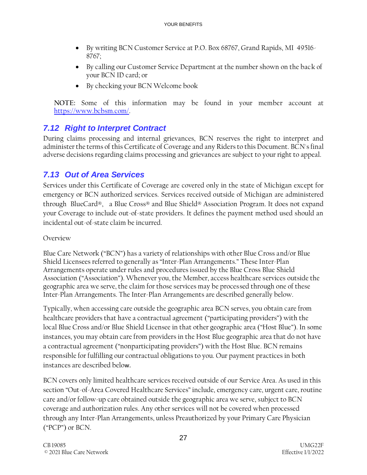- By writing BCN Customer Service at P.O. Box 68767, Grand Rapids, MI 49516- 8767;
- By calling our Customer Service Department at the number shown on the back of your BCN ID card; or
- By checking your BCN Welcome book

**NOTE:** Some of this information may be found in your member account at [https://www.bcbsm.com/.](https://www.bcbsm.com/)

## <span id="page-24-0"></span>*7.12 Right to Interpret Contract*

During claims processing and internal grievances, BCN reserves the right to interpret and administer the terms of this Certificate of Coverage and any Riders to this Document. BCN's final adverse decisions regarding claims processing and grievances are subject to your right to appeal.

## <span id="page-24-1"></span>*7.13 Out of Area Services*

Services under this Certificate of Coverage are covered only in the state of Michigan except for emergency or BCN authorized services. Services received outside of Michigan are administered through BlueCard®, a Blue Cross® and Blue Shield® Association Program. It does not expand your Coverage to include out-of-state providers. It defines the payment method used should an incidental out-of-state claim be incurred.

Overview

Blue Care Network ("BCN") has a variety of relationships with other Blue Cross and/or Blue Shield Licensees referred to generally as "Inter-Plan Arrangements." These Inter-Plan Arrangements operate under rules and procedures issued by the Blue Cross Blue Shield Association ("Association"). Whenever you, the Member, access healthcare services outside the geographic area we serve, the claim for those services may be processed through one of these Inter-Plan Arrangements. The Inter-Plan Arrangements are described generally below.

Typically, when accessing care outside the geographic area BCN serves, you obtain care from healthcare providers that have a contractual agreement ("participating providers") with the local Blue Cross and/or Blue Shield Licensee in that other geographic area ("Host Blue"). In some instances, you may obtain care from providers in the Host Blue geographic area that do not have a contractual agreement ("nonparticipating providers") with the Host Blue. BCN remains responsible for fulfilling our contractual obligations to you. Our payment practices in both instances are described below.

BCN covers only limited healthcare services received outside of our Service Area. As used in this section "Out-of-Area Covered Healthcare Services" include, emergency care, urgent care, routine care and/or follow-up care obtained outside the geographic area we serve, subject to BCN coverage and authorization rules. Any other services will not be covered when processed through any Inter-Plan Arrangements, unless Preauthorized by your Primary Care Physician ("PCP") or BCN.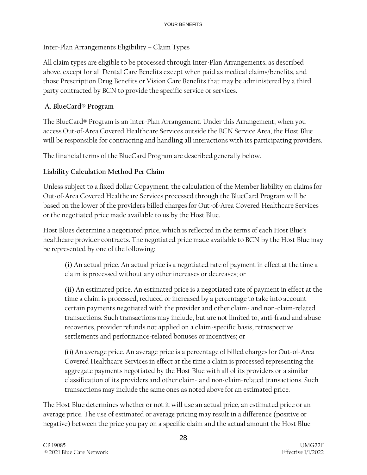### Inter-Plan Arrangements Eligibility – Claim Types

All claim types are eligible to be processed through Inter-Plan Arrangements, as described above, except for all Dental Care Benefits except when paid as medical claims/benefits, and those Prescription Drug Benefits or Vision Care Benefits that may be administered by a third party contracted by BCN to provide the specific service or services.

### **A. BlueCard® Program**

The BlueCard® Program is an Inter-Plan Arrangement. Under this Arrangement, when you access Out-of-Area Covered Healthcare Services outside the BCN Service Area, the Host Blue will be responsible for contracting and handling all interactions with its participating providers.

The financial terms of the BlueCard Program are described generally below.

### **Liability Calculation Method Per Claim**

Unless subject to a fixed dollar Copayment, the calculation of the Member liability on claims for Out-of-Area Covered Healthcare Services processed through the BlueCard Program will be based on the lower of the providers billed charges for Out-of-Area Covered Healthcare Services or the negotiated price made available to us by the Host Blue.

Host Blues determine a negotiated price, which is reflected in the terms of each Host Blue's healthcare provider contracts. The negotiated price made available to BCN by the Host Blue may be represented by one of the following:

(i) An actual price. An actual price is a negotiated rate of payment in effect at the time a claim is processed without any other increases or decreases; or

(ii) An estimated price. An estimated price is a negotiated rate of payment in effect at the time a claim is processed, reduced or increased by a percentage to take into account certain payments negotiated with the provider and other claim- and non-claim-related transactions. Such transactions may include, but are not limited to, anti-fraud and abuse recoveries, provider refunds not applied on a claim-specific basis, retrospective settlements and performance-related bonuses or incentives; or

(iii) An average price. An average price is a percentage of billed charges for Out-of-Area Covered Healthcare Services in effect at the time a claim is processed representing the aggregate payments negotiated by the Host Blue with all of its providers or a similar classification of its providers and other claim- and non-claim-related transactions. Such transactions may include the same ones as noted above for an estimated price.

The Host Blue determines whether or not it will use an actual price, an estimated price or an average price. The use of estimated or average pricing may result in a difference (positive or negative) between the price you pay on a specific claim and the actual amount the Host Blue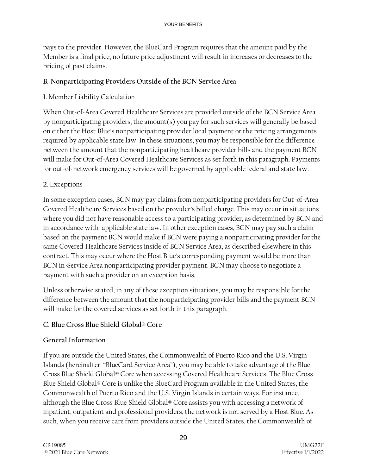pays to the provider. However, the BlueCard Program requires that the amount paid by the Member is a final price; no future price adjustment will result in increases or decreases to the pricing of past claims.

#### **B. Nonparticipating Providers Outside of the BCN Service Area**

#### 1. Member Liability Calculation

When Out-of-Area Covered Healthcare Services are provided outside of the BCN Service Area by nonparticipating providers, the amount(s) you pay for such services will generally be based on either the Host Blue's nonparticipating provider local payment or the pricing arrangements required by applicable state law. In these situations, you may be responsible for the difference between the amount that the nonparticipating healthcare provider bills and the payment BCN will make for Out-of-Area Covered Healthcare Services as set forth in this paragraph. Payments for out-of-network emergency services will be governed by applicable federal and state law.

#### **2**. Exceptions

In some exception cases, BCN may pay claims from nonparticipating providers for Out-of-Area Covered Healthcare Services based on the provider's billed charge. This may occur in situations where you did not have reasonable access to a participating provider, as determined by BCN and in accordance with applicable state law. In other exception cases, BCN may pay such a claim based on the payment BCN would make if BCN were paying a nonparticipating provider for the same Covered Healthcare Services inside of BCN Service Area, as described elsewhere in this contract. This may occur where the Host Blue's corresponding payment would be more than BCN in-Service Area nonparticipating provider payment. BCN may choose to negotiate a payment with such a provider on an exception basis.

Unless otherwise stated, in any of these exception situations, you may be responsible for the difference between the amount that the nonparticipating provider bills and the payment BCN will make for the covered services as set forth in this paragraph.

### **C. Blue Cross Blue Shield Global**® **Core**

#### **General Information**

If you are outside the United States, the Commonwealth of Puerto Rico and the U.S. Virgin Islands (hereinafter: "BlueCard Service Area"), you may be able to take advantage of the Blue Cross Blue Shield Global® Core when accessing Covered Healthcare Services. The Blue Cross Blue Shield Global® Core is unlike the BlueCard Program available in the United States, the Commonwealth of Puerto Rico and the U.S. Virgin Islands in certain ways. For instance, although the Blue Cross Blue Shield Global® Core assists you with accessing a network of inpatient, outpatient and professional providers, the network is not served by a Host Blue. As such, when you receive care from providers outside the United States, the Commonwealth of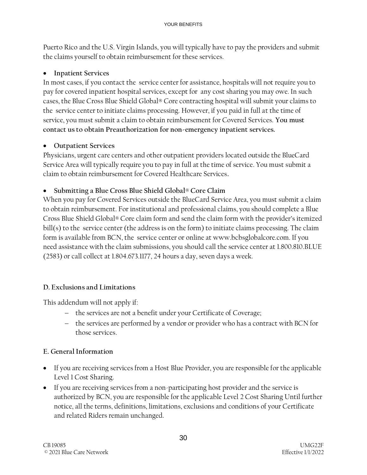Puerto Rico and the U.S. Virgin Islands, you will typically have to pay the providers and submit the claims yourself to obtain reimbursement for these services.

#### • **Inpatient Services**

In most cases, if you contact the service center for assistance, hospitals will not require you to pay for covered inpatient hospital services, except for any cost sharing you may owe. In such cases, the Blue Cross Blue Shield Global® Core contracting hospital will submit your claims to the service center to initiate claims processing. However, if you paid in full at the time of service, you must submit a claim to obtain reimbursement for Covered Services. **You must contact us to obtain Preauthorization for non-emergency inpatient services.** 

#### • **Outpatient Services**

Physicians, urgent care centers and other outpatient providers located outside the BlueCard Service Area will typically require you to pay in full at the time of service. You must submit a claim to obtain reimbursement for Covered Healthcare Services.

### • **Submitting a Blue Cross Blue Shield Global**® **Core Claim**

When you pay for Covered Services outside the BlueCard Service Area, you must submit a claim to obtain reimbursement. For institutional and professional claims, you should complete a Blue Cross Blue Shield Global® Core claim form and send the claim form with the provider's itemized bill(s) to the service center (the address is on the form) to initiate claims processing. The claim form is available from BCN, the service center or online at www.bcbsglobalcore.com. If you need assistance with the claim submissions, you should call the service center at 1.800.810.BLUE (2583) or call collect at 1.804.673.1177, 24 hours a day, seven days a week.

### **D. Exclusions and Limitations**

This addendum will not apply if:

- − the services are not a benefit under your Certificate of Coverage;
- − the services are performed by a vendor or provider who has a contract with BCN for those services.

### **E. General Information**

- If you are receiving services from a Host Blue Provider, you are responsible for the applicable Level 1 Cost Sharing.
- If you are receiving services from a non-participating host provider and the service is authorized by BCN, you are responsible for the applicable Level 2 Cost Sharing Until further notice, all the terms, definitions, limitations, exclusions and conditions of your Certificate and related Riders remain unchanged.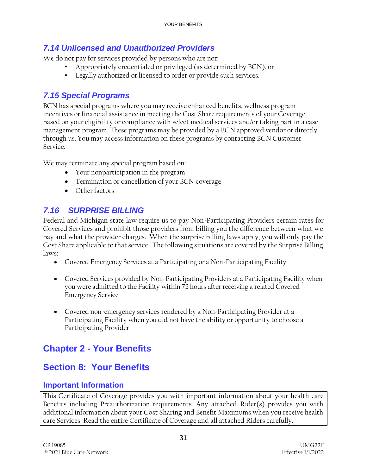# *7.14 Unlicensed and Unauthorized Providers*

We do not pay for services provided by persons who are not:

- Appropriately credentialed or privileged (as determined by BCN), or
- Legally authorized or licensed to order or provide such services.

# *7.15 Special Programs*

BCN has special programs where you may receive enhanced benefits, wellness program incentives or financial assistance in meeting the Cost Share requirements of your Coverage based on your eligibility or compliance with select medical services and/or taking part in a case management program. These programs may be provided by a BCN approved vendor or directly through us. You may access information on these programs by contacting BCN Customer Service.

We may terminate any special program based on:

- Your nonparticipation in the program
- Termination or cancellation of your BCN coverage
- Other factors

# *7.16 SURPRISE BILLING*

Federal and Michigan state law require us to pay Non-Participating Providers certain rates for Covered Services and prohibit those providers from billing you the difference between what we pay and what the provider charges. When the surprise billing laws apply, you will only pay the Cost Share applicable to that service. The following situations are covered by the Surprise Billing laws:

- Covered Emergency Services at a Participating or a Non-Participating Facility
- Covered Services provided by Non-Participating Providers at a Participating Facility when you were admitted to the Facility within 72 hours after receiving a related Covered Emergency Service
- Covered non-emergency services rendered by a Non-Participating Provider at a Participating Facility when you did not have the ability or opportunity to choose a Participating Provider

# <span id="page-28-0"></span>**Chapter 2 - Your Benefits**

# <span id="page-28-1"></span>**Section 8: Your Benefits**

## **Important Information**

This Certificate of Coverage provides you with important information about your health care Benefits including Preauthorization requirements. Any attached Rider(s) provides you with additional information about your Cost Sharing and Benefit Maximums when you receive health care Services. Read the entire Certificate of Coverage and all attached Riders carefully.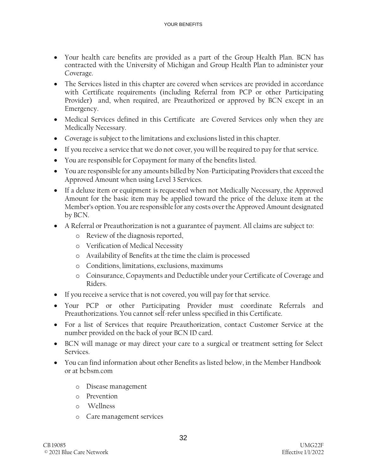- Your health care benefits are provided as a part of the Group Health Plan. BCN has contracted with the University of Michigan and Group Health Plan to administer your Coverage.
- The Services listed in this chapter are covered when services are provided in accordance with Certificate requirements (including Referral from PCP or other Participating Provider) and, when required, are Preauthorized or approved by BCN except in an Emergency.
- Medical Services defined in this Certificate are Covered Services only when they are Medically Necessary.
- Coverage is subject to the limitations and exclusions listed in this chapter.
- If you receive a service that we do not cover, you will be required to pay for that service.
- You are responsible for Copayment for many of the benefits listed.
- You are responsible for any amounts billed by Non-Participating Providers that exceed the Approved Amount when using Level 3 Services.
- If a deluxe item or equipment is requested when not Medically Necessary, the Approved Amount for the basic item may be applied toward the price of the deluxe item at the Member's option. You are responsible for any costs over the Approved Amount designated by BCN.
- A Referral or Preauthorization is not a guarantee of payment. All claims are subject to:
	- o Review of the diagnosis reported,
	- o Verification of Medical Necessity
	- o Availability of Benefits at the time the claim is processed
	- o Conditions, limitations, exclusions, maximums
	- o Coinsurance, Copayments and Deductible under your Certificate of Coverage and Riders.
- If you receive a service that is not covered, you will pay for that service.
- Your PCP or other Participating Provider must coordinate Referrals and Preauthorizations. You cannot self-refer unless specified in this Certificate.
- For a list of Services that require Preauthorization, contact Customer Service at the number provided on the back of your BCN ID card.
- BCN will manage or may direct your care to a surgical or treatment setting for Select Services.
- You can find information about other Benefits as listed below, in the Member Handbook or at bcbsm.com
	- o Disease management
	- o Prevention
	- o Wellness
	- o Care management services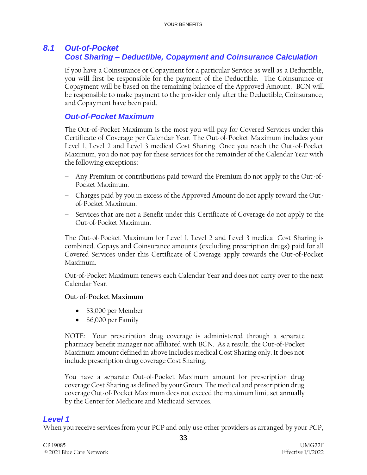### <span id="page-30-0"></span>*8.1 Out-of-Pocket Cost Sharing – Deductible, Copayment and Coinsurance Calculation*

If you have a Coinsurance or Copayment for a particular Service as well as a Deductible, you will first be responsible for the payment of the Deductible. The Coinsurance or Copayment will be based on the remaining balance of the Approved Amount. BCN will be responsible to make payment to the provider only after the Deductible, Coinsurance, and Copayment have been paid.

### *Out-of-Pocket Maximum*

The Out-of-Pocket Maximum is the most you will pay for Covered Services under this Certificate of Coverage per Calendar Year. The Out-of-Pocket Maximum includes your Level 1, Level 2 and Level 3 medical Cost Sharing. Once you reach the Out-of-Pocket Maximum, you do not pay for these services for the remainder of the Calendar Year with the following exceptions:

- − Any Premium or contributions paid toward the Premium do not apply to the Out-of-Pocket Maximum.
- − Charges paid by you in excess of the Approved Amount do not apply toward the Outof-Pocket Maximum.
- − Services that are not a Benefit under this Certificate of Coverage do not apply to the Out-of-Pocket Maximum.

The Out-of-Pocket Maximum for Level 1, Level 2 and Level 3 medical Cost Sharing is combined. Copays and Coinsurance amounts (excluding prescription drugs) paid for all Covered Services under this Certificate of Coverage apply towards the Out-of-Pocket Maximum.

Out-of-Pocket Maximum renews each Calendar Year and does not carry over to the next Calendar Year.

#### **Out-of-Pocket Maximum**

- \$3,000 per Member
- \$6,000 per Family

NOTE: Your prescription drug coverage is administered through a separate pharmacy benefit manager not affiliated with BCN. As a result, the Out-of-Pocket Maximum amount defined in above includes medical Cost Sharing only. It does not include prescription drug coverage Cost Sharing.

You have a separate Out-of-Pocket Maximum amount for prescription drug coverage Cost Sharing as defined by your Group. The medical and prescription drug coverage Out-of-Pocket Maximum does not exceed the maximum limit set annually by the Center for Medicare and Medicaid Services.

#### *Level 1*

When you receive services from your PCP and only use other providers as arranged by your PCP,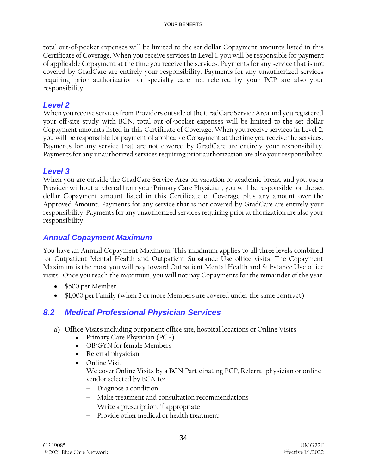total out-of-pocket expenses will be limited to the set dollar Copayment amounts listed in this Certificate of Coverage. When you receive services in Level 1, you will be responsible for payment of applicable Copayment at the time you receive the services. Payments for any service that is not covered by GradCare are entirely your responsibility. Payments for any unauthorized services requiring prior authorization or specialty care not referred by your PCP are also your responsibility.

#### *Level 2*

When you receive services from Providers outside of the GradCare Service Area and you registered your off-site study with BCN, total out-of-pocket expenses will be limited to the set dollar Copayment amounts listed in this Certificate of Coverage. When you receive services in Level 2, you will be responsible for payment of applicable Copayment at the time you receive the services. Payments for any service that are not covered by GradCare are entirely your responsibility. Payments for any unauthorized services requiring prior authorization are also your responsibility.

#### *Level 3*

When you are outside the GradCare Service Area on vacation or academic break, and you use a Provider without a referral from your Primary Care Physician, you will be responsible for the set dollar Copayment amount listed in this Certificate of Coverage plus any amount over the Approved Amount. Payments for any service that is not covered by GradCare are entirely your responsibility. Payments for any unauthorized services requiring prior authorization are also your responsibility.

#### *Annual Copayment Maximum*

You have an Annual Copayment Maximum. This maximum applies to all three levels combined for Outpatient Mental Health and Outpatient Substance Use office visits. The Copayment Maximum is the most you will pay toward Outpatient Mental Health and Substance Use office visits. Once you reach the maximum, you will not pay Copayments for the remainder of the year.

- \$500 per Member
- \$1,000 per Family (when 2 or more Members are covered under the same contract)

## <span id="page-31-0"></span>*8.2 Medical Professional Physician Services*

- **a) Office Visits** including outpatient office site, hospital locations or Online Visits
	- Primary Care Physician (PCP)
	- OB/GYN for female Members
	- Referral physician
	- Online Visit We cover Online Visits by a BCN Participating PCP, Referral physician or online vendor selected by BCN to:
		- − Diagnose a condition
		- − Make treatment and consultation recommendations
		- − Write a prescription, if appropriate
		- − Provide other medical or health treatment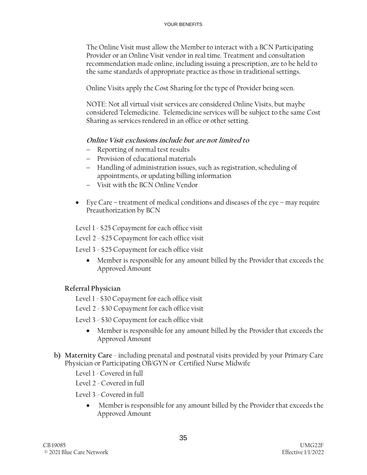The Online Visit must allow the Member to interact with a BCN Participating Provider or an Online Visit vendor in real time. Treatment and consultation recommendation made online, including issuing a prescription, are to be held to the same standards of appropriate practice as those in traditional settings.

Online Visits apply the Cost Sharing for the type of Provider being seen.

NOTE: Not all virtual visit services are considered Online Visits, but maybe considered Telemedicine. Telemedicine services will be subject to the same Cost Sharing as services rendered in an office or other setting.

#### **Online Visit exclusions include but are not limited to**

- − Reporting of normal test results
- − Provision of educational materials
- − Handling of administration issues, such as registration, scheduling of appointments, or updating billing information
- − Visit with the BCN Online Vendor
- Eye Care treatment of medical conditions and diseases of the eye may require Preauthorization by BCN

Level 1 - \$25 Copayment for each office visit

Level 2 - \$25 Copayment for each office visit

Level 3 - \$25 Copayment for each office visit

• Member is responsible for any amount billed by the Provider that exceeds the Approved Amount

#### **Referral Physician**

Level 1 - \$30 Copayment for each office visit

Level 2 - \$30 Copayment for each office visit

Level 3 - \$30 Copayment for each office visit

- Member is responsible for any amount billed by the Provider that exceeds the Approved Amount
- **b) Maternity Care** including prenatal and postnatal visits provided by your Primary Care Physician or Participating OB/GYN or Certified Nurse Midwife

Level 1 - Covered in full

Level 2 - Covered in full

Level 3 - Covered in full

• Member is responsible for any amount billed by the Provider that exceeds the Approved Amount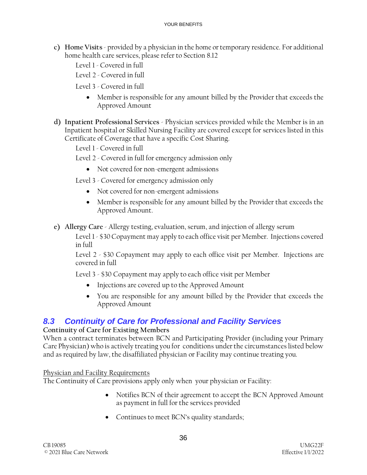**c) Home Visits** - provided by a physician in the home or temporary residence. For additional home health care services, please refer to Section 8.12

Level 1 - Covered in full

Level 2 - Covered in full

Level 3 - Covered in full

- Member is responsible for any amount billed by the Provider that exceeds the Approved Amount
- **d) Inpatient Professional Services** Physician services provided while the Member is in an Inpatient hospital or Skilled Nursing Facility are covered except for services listed in this Certificate of Coverage that have a specific Cost Sharing.
	- Level 1 Covered in full

Level 2 - Covered in full for emergency admission only

• Not covered for non-emergent admissions

Level 3 - Covered for emergency admission only

- Not covered for non-emergent admissions
- Member is responsible for any amount billed by the Provider that exceeds the Approved Amount.
- **e) Allergy Care** Allergy testing, evaluation, serum, and injection of allergy serum

Level 1 - \$30 Copayment may apply to each office visit per Member. Injections covered in full

Level 2 - \$30 Copayment may apply to each office visit per Member. Injections are covered in full

Level 3 - \$30 Copayment may apply to each office visit per Member

- Injections are covered up to the Approved Amount
- You are responsible for any amount billed by the Provider that exceeds the Approved Amount

## <span id="page-33-0"></span>*8.3 Continuity of Care for Professional and Facility Services*

#### **Continuity of Care for Existing Members**

When a contract terminates between BCN and Participating Provider (including your Primary Care Physician) who is actively treating you for conditions under the circumstances listed below and as required by law, the disaffiliated physician or Facility may continue treating you.

Physician and Facility Requirements

The Continuity of Care provisions apply only when your physician or Facility:

- Notifies BCN of their agreement to accept the BCN Approved Amount as payment in full for the services provided
- Continues to meet BCN's quality standards;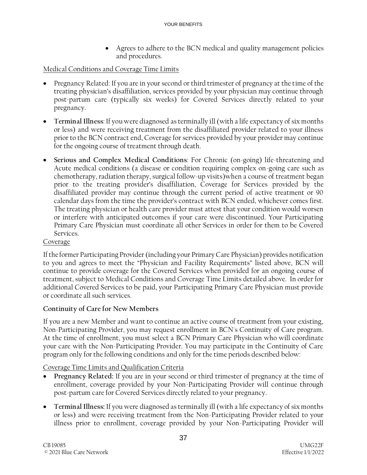• Agrees to adhere to the BCN medical and quality management policies and procedures.

Medical Conditions and Coverage Time Limits

- Pregnancy Related: If you are in your second or third trimester of pregnancy at the time of the treating physician's disaffiliation, services provided by your physician may continue through post-partum care (typically six weeks) for Covered Services directly related to your pregnancy.
- **Terminal Illness**: If you were diagnosed as terminally ill (with a life expectancy of six months or less) and were receiving treatment from the disaffiliated provider related to your illness prior to the BCN contract end, Coverage for services provided by your provider may continue for the ongoing course of treatment through death.
- **Serious and Complex Medical Conditions**: For Chronic (on-going) life-threatening and Acute medical conditions (a disease or condition requiring complex on-going care such as chemotherapy, radiation therapy, surgical follow-up visits)when a course of treatment began prior to the treating provider's disaffiliation, Coverage for Services provided by the disaffiliated provider may continue through the current period of active treatment or 90 calendar days from the time the provider's contract with BCN ended, whichever comes first. The treating physician or health care provider must attest that your condition would worsen or interfere with anticipated outcomes if your care were discontinued. Your Participating Primary Care Physician must coordinate all other Services in order for them to be Covered Services.

#### Coverage

If the former Participating Provider (including your Primary Care Physician) provides notification to you and agrees to meet the "Physician and Facility Requirements" listed above, BCN will continue to provide coverage for the Covered Services when provided for an ongoing course of treatment, subject to Medical Conditions and Coverage Time Limits detailed above. In order for additional Covered Services to be paid, your Participating Primary Care Physician must provide or coordinate all such services.

#### **Continuity of Care for New Members**

If you are a new Member and want to continue an active course of treatment from your existing, Non-Participating Provider, you may request enrollment in BCN's Continuity of Care program. At the time of enrollment, you must select a BCN Primary Care Physician who will coordinate your care with the Non-Participating Provider. You may participate in the Continuity of Care program only for the following conditions and only for the time periods described below:

#### Coverage Time Limits and Qualification Criteria

- **Pregnancy Related:** If you are in your second or third trimester of pregnancy at the time of enrollment, coverage provided by your Non-Participating Provider will continue through post-partum care for Covered Services directly related to your pregnancy.
- **Terminal Illness:** If you were diagnosed as terminally ill (with a life expectancy of six months or less) and were receiving treatment from the Non-Participating Provider related to your illness prior to enrollment, coverage provided by your Non-Participating Provider will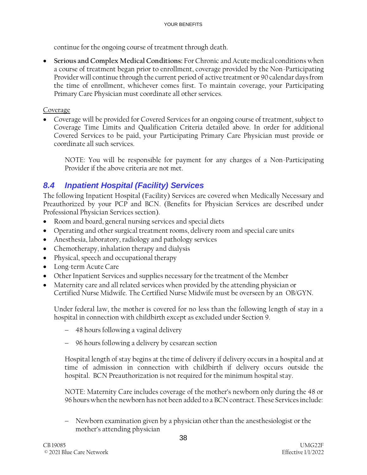continue for the ongoing course of treatment through death.

• **Serious and Complex Medical Conditions:** For Chronic and Acute medical conditions when a course of treatment began prior to enrollment, coverage provided by the Non-Participating Provider will continue through the current period of active treatment or 90 calendar days from the time of enrollment, whichever comes first. To maintain coverage, your Participating Primary Care Physician must coordinate all other services.

#### Coverage

• Coverage will be provided for Covered Services for an ongoing course of treatment, subject to Coverage Time Limits and Qualification Criteria detailed above. In order for additional Covered Services to be paid, your Participating Primary Care Physician must provide or coordinate all such services.

NOTE: You will be responsible for payment for any charges of a Non-Participating Provider if the above criteria are not met.

# <span id="page-35-0"></span>*8.4 Inpatient Hospital (Facility) Services*

The following Inpatient Hospital (Facility) Services are covered when Medically Necessary and Preauthorized by your PCP and BCN. (Benefits for Physician Services are described under Professional Physician Services section).

- Room and board, general nursing services and special diets
- Operating and other surgical treatment rooms, delivery room and special care units
- Anesthesia, laboratory, radiology and pathology services
- Chemotherapy, inhalation therapy and dialysis
- Physical, speech and occupational therapy
- Long-term Acute Care
- Other Inpatient Services and supplies necessary for the treatment of the Member
- Maternity care and all related services when provided by the attending physician or Certified Nurse Midwife. The Certified Nurse Midwife must be overseen by an OB/GYN.

Under federal law, the mother is covered for no less than the following length of stay in a hospital in connection with childbirth except as excluded under Section 9.

- − 48 hours following a vaginal delivery
- − 96 hours following a delivery by cesarean section

Hospital length of stay begins at the time of delivery if delivery occurs in a hospital and at time of admission in connection with childbirth if delivery occurs outside the hospital. BCN Preauthorization is not required for the minimum hospital stay.

NOTE: Maternity Care includes coverage of the mother's newborn only during the 48 or 96 hours when the newborn has not been added to a BCN contract. These Services include:

− Newborn examination given by a physician other than the anesthesiologist or the mother's attending physician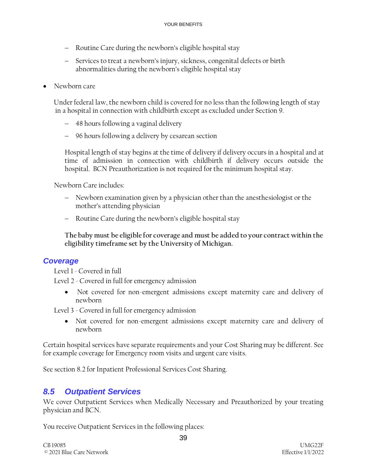- − Routine Care during the newborn's eligible hospital stay
- − Services to treat a newborn's injury, sickness, congenital defects or birth abnormalities during the newborn's eligible hospital stay
- Newborn care

 Under federal law, the newborn child is covered for no less than the following length of stay in a hospital in connection with childbirth except as excluded under Section 9.

- − 48 hours following a vaginal delivery
- − 96 hours following a delivery by cesarean section

Hospital length of stay begins at the time of delivery if delivery occurs in a hospital and at time of admission in connection with childbirth if delivery occurs outside the hospital. BCN Preauthorization is not required for the minimum hospital stay.

Newborn Care includes:

- − Newborn examination given by a physician other than the anesthesiologist or the mother's attending physician
- − Routine Care during the newborn's eligible hospital stay

**The baby must be eligible for coverage and must be added to your contract within the eligibility timeframe set by the University of Michigan.**

#### *Coverage*

Level 1 - Covered in full

Level 2 - Covered in full for emergency admission

• Not covered for non-emergent admissions except maternity care and delivery of newborn

Level 3 - Covered in full for emergency admission

• Not covered for non-emergent admissions except maternity care and delivery of newborn

Certain hospital services have separate requirements and your Cost Sharing may be different. See for example coverage for Emergency room visits and urgent care visits.

See section 8.2 for Inpatient Professional Services Cost Sharing.

### *8.5 Outpatient Services*

We cover Outpatient Services when Medically Necessary and Preauthorized by your treating physician and BCN.

You receive Outpatient Services in the following places: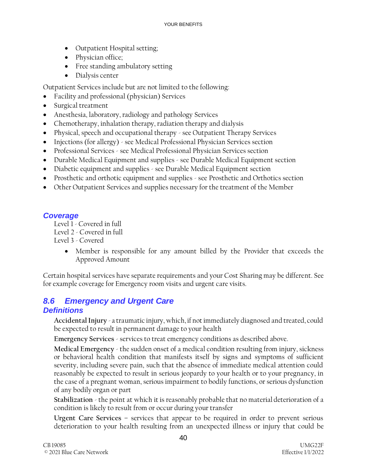- Outpatient Hospital setting;
- Physician office;
- Free standing ambulatory setting
- Dialysis center

Outpatient Services include but are not limited to the following:

- Facility and professional (physician) Services
- Surgical treatment
- Anesthesia, laboratory, radiology and pathology Services
- Chemotherapy, inhalation therapy, radiation therapy and dialysis
- Physical, speech and occupational therapy see Outpatient Therapy Services
- Injections (for allergy) see Medical Professional Physician Services section
- Professional Services see Medical Professional Physician Services section
- Durable Medical Equipment and supplies see Durable Medical Equipment section
- Diabetic equipment and supplies see Durable Medical Equipment section
- Prosthetic and orthotic equipment and supplies see Prosthetic and Orthotics section
- Other Outpatient Services and supplies necessary for the treatment of the Member

### *Coverage*

Level 1 - Covered in full Level 2 - Covered in full Level 3 - Covered

> • Member is responsible for any amount billed by the Provider that exceeds the Approved Amount

Certain hospital services have separate requirements and your Cost Sharing may be different. See for example coverage for Emergency room visits and urgent care visits.

### *8.6 Emergency and Urgent Care Definitions*

**Accidental Injury** - a traumatic injury, which, if not immediately diagnosed and treated, could be expected to result in permanent damage to your health

**Emergency Services** - services to treat emergency conditions as described above.

**Medical Emergency** - the sudden onset of a medical condition resulting from injury, sickness or behavioral health condition that manifests itself by signs and symptoms of sufficient severity, including severe pain, such that the absence of immediate medical attention could reasonably be expected to result in serious jeopardy to your health or to your pregnancy, in the case of a pregnant woman, serious impairment to bodily functions, or serious dysfunction of any bodily organ or part

**Stabilization** - the point at which it is reasonably probable that no material deterioration of a condition is likely to result from or occur during your transfer

**Urgent Care Services** – services that appear to be required in order to prevent serious deterioration to your health resulting from an unexpected illness or injury that could be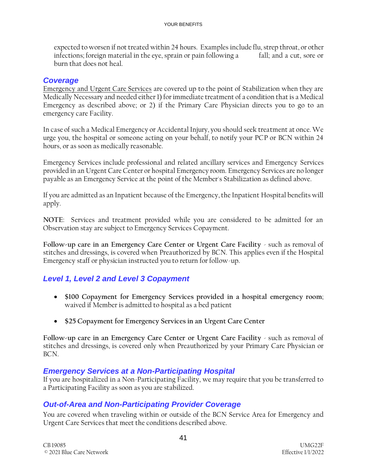expected to worsen if not treated within 24 hours. Examples include flu, strep throat, or other infections; foreign material in the eye, sprain or pain following a fall; and a cut, sore or burn that does not heal.

#### *Coverage*

Emergency and Urgent Care Services are covered up to the point of Stabilization when they are Medically Necessary and needed either 1) for immediate treatment of a condition that is a Medical Emergency as described above; or 2) if the Primary Care Physician directs you to go to an emergency care Facility.

In case of such a Medical Emergency or Accidental Injury, you should seek treatment at once. We urge you, the hospital or someone acting on your behalf, to notify your PCP or BCN within 24 hours, or as soon as medically reasonable.

Emergency Services include professional and related ancillary services and Emergency Services provided in an Urgent Care Center or hospital Emergency room. Emergency Services are no longer payable as an Emergency Service at the point of the Member's Stabilization as defined above.

If you are admitted as an Inpatient because of the Emergency, the Inpatient Hospital benefits will apply.

**NOTE**: Services and treatment provided while you are considered to be admitted for an Observation stay are subject to Emergency Services Copayment.

**Follow-up care in an Emergency Care Center or Urgent Care Facility** - such as removal of stitches and dressings, is covered when Preauthorized by BCN. This applies even if the Hospital Emergency staff or physician instructed you to return for follow-up.

### *Level 1, Level 2 and Level 3 Copayment*

- **\$100 Copayment for Emergency Services provided in a hospital emergency room**; waived if Member is admitted to hospital as a bed patient
- **\$25 Copayment for Emergency Services in an Urgent Care Center**

**Follow-up care in an Emergency Care Center or Urgent Care Facility** - such as removal of stitches and dressings, is covered only when Preauthorized by your Primary Care Physician or BCN.

### *Emergency Services at a Non-Participating Hospital*

If you are hospitalized in a Non-Participating Facility, we may require that you be transferred to a Participating Facility as soon as you are stabilized.

### *Out-of-Area and Non-Participating Provider Coverage*

You are covered when traveling within or outside of the BCN Service Area for Emergency and Urgent Care Services that meet the conditions described above.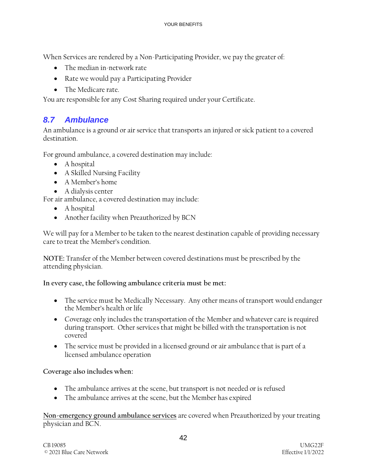When Services are rendered by a Non-Participating Provider, we pay the greater of:

- The median in-network rate
- Rate we would pay a Participating Provider
- The Medicare rate.

You are responsible for any Cost Sharing required under your Certificate.

### *8.7 Ambulance*

An ambulance is a ground or air service that transports an injured or sick patient to a covered destination.

For ground ambulance, a covered destination may include:

- A hospital
- A Skilled Nursing Facility
- A Member's home
- A dialysis center

For air ambulance, a covered destination may include:

- A hospital
- Another facility when Preauthorized by BCN

We will pay for a Member to be taken to the nearest destination capable of providing necessary care to treat the Member's condition.

**NOTE:** Transfer of the Member between covered destinations must be prescribed by the attending physician.

#### **In every case, the following ambulance criteria must be met:**

- The service must be Medically Necessary. Any other means of transport would endanger the Member's health or life
- Coverage only includes the transportation of the Member and whatever care is required during transport. Other services that might be billed with the transportation is not covered
- The service must be provided in a licensed ground or air ambulance that is part of a licensed ambulance operation

#### **Coverage also includes when:**

- The ambulance arrives at the scene, but transport is not needed or is refused
- The ambulance arrives at the scene, but the Member has expired

**Non-emergency ground ambulance services** are covered when Preauthorized by your treating physician and BCN.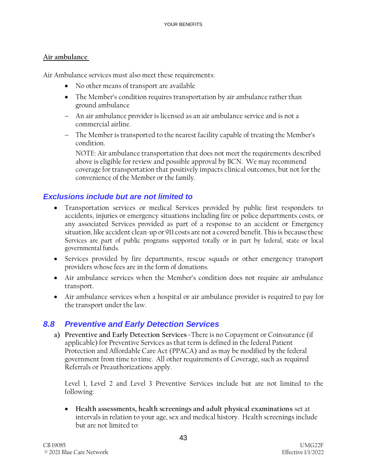#### **Air ambulance**

Air Ambulance services must also meet these requirements:

- No other means of transport are available
- The Member's condition requires transportation by air ambulance rather than ground ambulance
- − An air ambulance provider is licensed as an air ambulance service and is not a commercial airline.
- − The Member is transported to the nearest facility capable of treating the Member's condition.

NOTE: Air ambulance transportation that does not meet the requirements described above is eligible for review and possible approval by BCN. We may recommend coverage for transportation that positively impacts clinical outcomes, but not for the convenience of the Member or the family.

### *Exclusions include but are not limited to*

- Transportation services or medical Services provided by public first responders to accidents, injuries or emergency situations including fire or police departments costs, or any associated Services provided as part of a response to an accident or Emergency situation, like accident clean-up or 911 costs are not a covered benefit. This is because these Services are part of public programs supported totally or in part by federal, state or local governmental funds.
- Services provided by fire departments, rescue squads or other emergency transport providers whose fees are in the form of donations.
- Air ambulance services when the Member's condition does not require air ambulance transport.
- Air ambulance services when a hospital or air ambulance provider is required to pay for the transport under the law.

## *8.8 Preventive and Early Detection Services*

**a) Preventive and Early Detection Services -**There is no Copayment or Coinsurance (if applicable) for Preventive Services as that term is defined in the federal Patient Protection and Affordable Care Act (PPACA) and as may be modified by the federal government from time to time. All other requirements of Coverage, such as required Referrals or Preauthorizations apply.

Level 1, Level 2 and Level 3 Preventive Services include but are not limited to the following:

• **Health assessments, health screenings and adult physical examinations** set at intervals in relation to your age, sex and medical history. Health screenings include but are not limited to: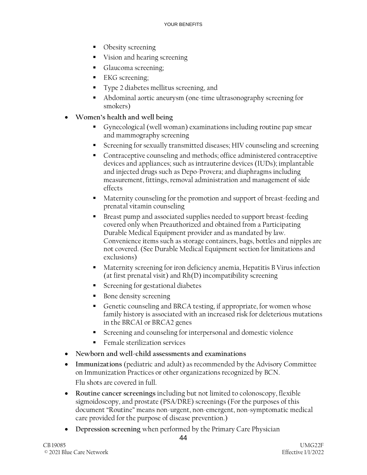- Obesity screening
- Vision and hearing screening
- Glaucoma screening;
- EKG screening;
- **Type 2 diabetes mellitus screening, and**
- Abdominal aortic aneurysm (one-time ultrasonography screening for smokers)
- **Women's health and well being**
	- Gynecological (well woman) examinations including routine pap smear and mammography screening
	- Screening for sexually transmitted diseases; HIV counseling and screening
	- Contraceptive counseling and methods; office administered contraceptive devices and appliances; such as intrauterine devices (IUDs); implantable and injected drugs such as Depo-Provera; and diaphragms including measurement, fittings, removal administration and management of side effects
	- Maternity counseling for the promotion and support of breast-feeding and prenatal vitamin counseling
	- **EXECUTE:** Breast pump and associated supplies needed to support breast-feeding covered only when Preauthorized and obtained from a Participating Durable Medical Equipment provider and as mandated by law. Convenience items such as storage containers, bags, bottles and nipples are not covered. (See Durable Medical Equipment section for limitations and exclusions)
	- Maternity screening for iron deficiency anemia, Hepatitis B Virus infection (at first prenatal visit) and  $Rh(D)$  incompatibility screening
	- Screening for gestational diabetes
	- Bone density screening
	- Genetic counseling and BRCA testing, if appropriate, for women whose family history is associated with an increased risk for deleterious mutations in the BRCA1 or BRCA2 genes
	- Screening and counseling for interpersonal and domestic violence
	- **Female sterilization services**
- **Newborn and well-child assessments and examinations**
- **Immunizations** (pediatric and adult) as recommended by the Advisory Committee on Immunization Practices or other organizations recognized by BCN. Flu shots are covered in full.
- **Routine cancer screenings** including but not limited to colonoscopy, flexible sigmoidoscopy, and prostate (PSA/DRE) screenings (For the purposes of this document "Routine" means non-urgent, non-emergent, non-symptomatic medical care provided for the purpose of disease prevention.)
- **Depression screening** when performed by the Primary Care Physician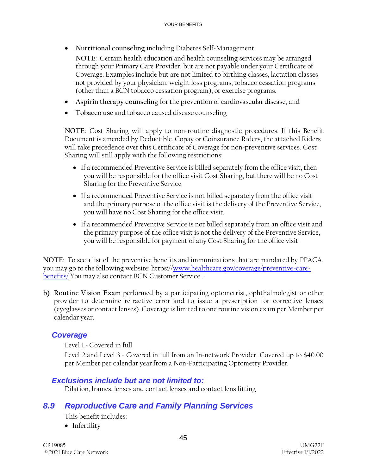- **Nutritional counseling** including Diabetes Self-Management
	- **NOTE**: Certain health education and health counseling services may be arranged through your Primary Care Provider, but are not payable under your Certificate of Coverage. Examples include but are not limited to birthing classes, lactation classes not provided by your physician, weight loss programs, tobacco cessation programs (other than a BCN tobacco cessation program), or exercise programs.
- **Aspirin therapy counseling** for the prevention of cardiovascular disease, and
- **Tobacco use** and tobacco caused disease counseling

**NOTE**: Cost Sharing will apply to non-routine diagnostic procedures. If this Benefit Document is amended by Deductible, Copay or Coinsurance Riders, the attached Riders will take precedence over this Certificate of Coverage for non-preventive services. Cost Sharing will still apply with the following restrictions:

- If a recommended Preventive Service is billed separately from the office visit, then you will be responsible for the office visit Cost Sharing, but there will be no Cost Sharing for the Preventive Service.
- If a recommended Preventive Service is not billed separately from the office visit and the primary purpose of the office visit is the delivery of the Preventive Service, you will have no Cost Sharing for the office visit.
- If a recommended Preventive Service is not billed separately from an office visit and the primary purpose of the office visit is not the delivery of the Preventive Service, you will be responsible for payment of any Cost Sharing for the office visit.

**NOTE**: To see a list of the preventive benefits and immunizations that are mandated by PPACA, you may go to the following website: https:/[/www.healthcare.gov/coverage/preventive-care](http://www.healthcare.gov/coverage/preventive-care-benefits/)[benefits/](http://www.healthcare.gov/coverage/preventive-care-benefits/) You may also contact BCN Customer Service .

**b) Routine Vision Exam** performed by a participating optometrist, ophthalmologist or other provider to determine refractive error and to issue a prescription for corrective lenses (eyeglasses or contact lenses). Coverage is limited to one routine vision exam per Member per calendar year.

## *Coverage*

Level 1 - Covered in full

Level 2 and Level 3 - Covered in full from an In-network Provider. Covered up to \$40.00 per Member per calendar year from a Non-Participating Optometry Provider.

## *Exclusions include but are not limited to:*

Dilation, frames, lenses and contact lenses and contact lens fitting

## *8.9 Reproductive Care and Family Planning Services*

This benefit includes:

• Infertility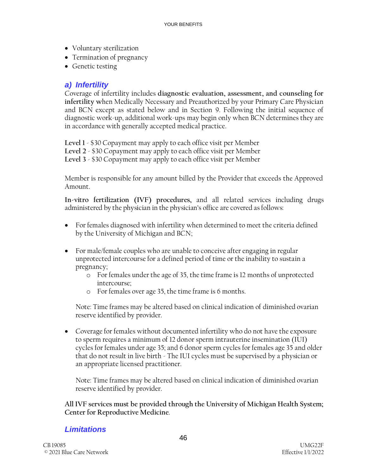- Voluntary sterilization
- Termination of pregnancy
- Genetic testing

### *a) Infertility*

Coverage of infertility includes **diagnostic evaluation, assessment, and counseling for infertility w**hen Medically Necessary and Preauthorized by your Primary Care Physician and BCN except as stated below and in Section 9. Following the initial sequence of diagnostic work-up, additional work-ups may begin only when BCN determines they are in accordance with generally accepted medical practice.

**Level 1** - \$30 Copayment may apply to each office visit per Member **Level 2** - \$30 Copayment may apply to each office visit per Member **Level 3** - \$30 Copayment may apply to each office visit per Member

Member is responsible for any amount billed by the Provider that exceeds the Approved Amount.

**In-vitro fertilization (IVF) procedures,** and all related services including drugs administered by the physician in the physician's office are covered as follows:

- For females diagnosed with infertility when determined to meet the criteria defined by the University of Michigan and BCN;
- For male/female couples who are unable to conceive after engaging in regular unprotected intercourse for a defined period of time or the inability to sustain a pregnancy;
	- o For females under the age of 35, the time frame is 12 months of unprotected intercourse;
	- o For females over age 35, the time frame is 6 months.

Note: Time frames may be altered based on clinical indication of diminished ovarian reserve identified by provider.

• Coverage for females without documented infertility who do not have the exposure to sperm requires a minimum of 12 donor sperm intrauterine insemination (IUI) cycles for females under age 35; and 6 donor sperm cycles for females age 35 and older that do not result in live birth - The IUI cycles must be supervised by a physician or an appropriate licensed practitioner.

Note: Time frames may be altered based on clinical indication of diminished ovarian reserve identified by provider.

**All IVF services must be provided through the University of Michigan Health System; Center for Reproductive Medicine**.

### *Limitations*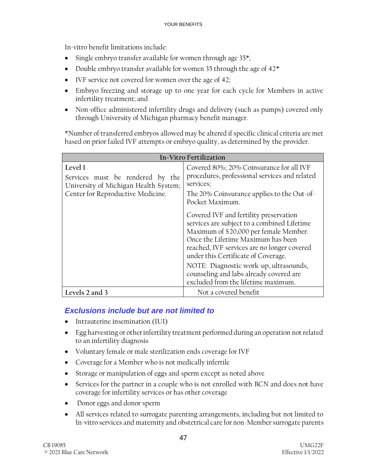In-vitro benefit limitations include:

- Single embryo transfer available for women through age 35<sup>\*</sup>;
- Double embryo transfer available for women 35 through the age of 42\*
- IVF service not covered for women over the age of 42;
- Embryo freezing and storage up to one year for each cycle for Members in active infertility treatment; and
- Non-office administered infertility drugs and delivery (such as pumps) covered only through University of Michigan pharmacy benefit manager.

\*Number of transferred embryos allowed may be altered if specific clinical criteria are met based on prior failed IVF attempts or embryo quality, as determined by the provider.

| In-Vitro Fertilization                                                                                                    |                                                                                                                                                                                                                                                                                                                                                                                                                                                                                                                                                                    |  |
|---------------------------------------------------------------------------------------------------------------------------|--------------------------------------------------------------------------------------------------------------------------------------------------------------------------------------------------------------------------------------------------------------------------------------------------------------------------------------------------------------------------------------------------------------------------------------------------------------------------------------------------------------------------------------------------------------------|--|
| Level 1<br>Services must be rendered by the<br>University of Michigan Health System;<br>Center for Reproductive Medicine. | Covered 80%; 20% Coinsurance for all IVF<br>procedures, professional services and related<br>services;<br>The 20% Coinsurance applies to the Out-of-<br>Pocket Maximum.<br>Covered IVF and fertility preservation<br>services are subject to a combined Lifetime<br>Maximum of \$20,000 per female Member.<br>Once the Lifetime Maximum has been<br>reached, IVF services are no longer covered<br>under this Certificate of Coverage.<br>NOTE: Diagnostic work-up, ultrasounds,<br>counseling and labs already covered are<br>excluded from the lifetime maximum. |  |
| Levels 2 and 3                                                                                                            | Not a covered benefit                                                                                                                                                                                                                                                                                                                                                                                                                                                                                                                                              |  |

## *Exclusions include but are not limited to*

- Intrauterine insemination (IUI)
- Egg harvesting or other infertility treatment performed during an operation not related to an infertility diagnosis
- Voluntary female or male sterilization ends coverage for IVF
- Coverage for a Member who is not medically infertile
- Storage or manipulation of eggs and sperm except as noted above
- Services for the partner in a couple who is not enrolled with BCN and does not have coverage for infertility services or has other coverage
- Donor eggs and donor sperm
- All services related to surrogate parenting arrangements, including but not limited to In-vitro services and maternity and obstetrical care for non-Member surrogate parents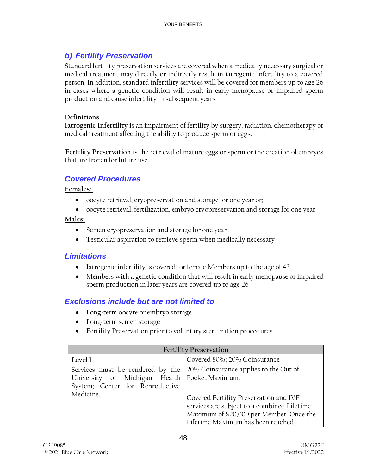## *b) Fertility Preservation*

Standard fertility preservation services are covered when a medically necessary surgical or medical treatment may directly or indirectly result in iatrogenic infertility to a covered person. In addition, standard infertility services will be covered for members up to age 26 in cases where a genetic condition will result in early menopause or impaired sperm production and cause infertility in subsequent years.

#### **Definitions**

**Iatrogenic Infertility** is an impairment of fertility by surgery, radiation, chemotherapy or medical treatment affecting the ability to produce sperm or eggs.

 **Fertility Preservation** is the retrieval of mature eggs or sperm or the creation of embryos that are frozen for future use.

### *Covered Procedures*

#### **Females:**

- oocyte retrieval, cryopreservation and storage for one year or;
- oocyte retrieval, fertilization, embryo cryopreservation and storage for one year.

#### **Males:**

- Semen cryopreservation and storage for one year
- Testicular aspiration to retrieve sperm when medically necessary

### *Limitations*

- Iatrogenic infertility is covered for female Members up to the age of 43.
- Members with a genetic condition that will result in early menopause or impaired sperm production in later years are covered up to age 26

## *Exclusions include but are not limited to*

- Long-term oocyte or embryo storage
- Long-term semen storage
- Fertility Preservation prior to voluntary sterilization procedures

| <b>Fertility Preservation</b>                                                                                        |                                                                                                                                                                         |  |
|----------------------------------------------------------------------------------------------------------------------|-------------------------------------------------------------------------------------------------------------------------------------------------------------------------|--|
| Level 1                                                                                                              | Covered 80%; 20% Coinsurance                                                                                                                                            |  |
| Services must be rendered by the<br>University of Michigan Health Pocket Maximum.<br>System; Center for Reproductive | 20% Coinsurance applies to the Out of                                                                                                                                   |  |
| Medicine.                                                                                                            | Covered Fertility Preservation and IVF<br>services are subject to a combined Lifetime<br>Maximum of \$20,000 per Member. Once the<br>Lifetime Maximum has been reached, |  |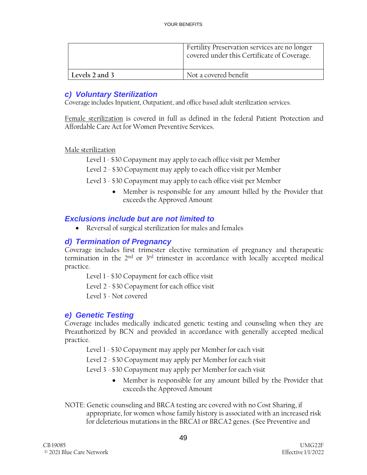|                | Fertility Preservation services are no longer<br>covered under this Certificate of Coverage. |
|----------------|----------------------------------------------------------------------------------------------|
| Levels 2 and 3 | Not a covered benefit                                                                        |

### *c) Voluntary Sterilization*

Coverage includes Inpatient, Outpatient, and office based adult sterilization services.

Female sterilization is covered in full as defined in the federal Patient Protection and Affordable Care Act for Women Preventive Services.

Male sterilization

Level 1 - \$30 Copayment may apply to each office visit per Member

Level 2 - \$30 Copayment may apply to each office visit per Member

Level 3 - \$30 Copayment may apply to each office visit per Member

• Member is responsible for any amount billed by the Provider that exceeds the Approved Amount

### *Exclusions include but are not limited to*

• Reversal of surgical sterilization for males and females

### *d) Termination of Pregnancy*

Coverage includes first trimester elective termination of pregnancy and therapeutic termination in the  $2<sup>nd</sup>$  or  $3<sup>rd</sup>$  trimester in accordance with locally accepted medical practice.

Level 1 - \$30 Copayment for each office visit

Level 2 - \$30 Copayment for each office visit

Level 3 - Not covered

### *e) Genetic Testing*

Coverage includes medically indicated genetic testing and counseling when they are Preauthorized by BCN and provided in accordance with generally accepted medical practice.

Level 1 - \$30 Copayment may apply per Member for each visit

Level 2 - \$30 Copayment may apply per Member for each visit

Level 3 - \$30 Copayment may apply per Member for each visit

- Member is responsible for any amount billed by the Provider that exceeds the Approved Amount
- NOTE: Genetic counseling and BRCA testing are covered with no Cost Sharing, if appropriate, for women whose family history is associated with an increased risk for deleterious mutations in the BRCA1 or BRCA2 genes. (See Preventive and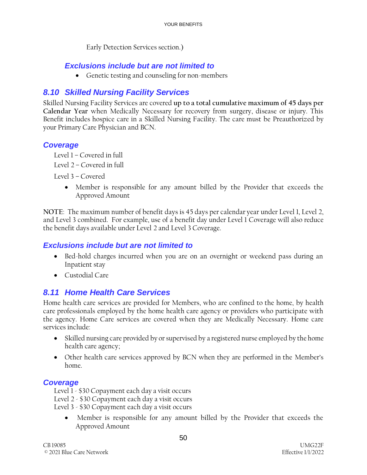Early Detection Services section.)

### *Exclusions include but are not limited to*

• Genetic testing and counseling for non-members

## *8.10 Skilled Nursing Facility Services*

Skilled Nursing Facility Services are covered **up to a total cumulative maximum of 45 days per Calendar Year** when Medically Necessary for recovery from surgery, disease or injury. This Benefit includes hospice care in a Skilled Nursing Facility. The care must be Preauthorized by your Primary Care Physician and BCN.

### *Coverage*

Level 1 – Covered in full Level 2 – Covered in full

Level 3 – Covered

• Member is responsible for any amount billed by the Provider that exceeds the Approved Amount

**NOTE**: The maximum number of benefit days is 45 days per calendar year under Level 1, Level 2, and Level 3 combined. For example, use of a benefit day under Level 1 Coverage will also reduce the benefit days available under Level 2 and Level 3 Coverage.

### *Exclusions include but are not limited to*

- Bed-hold charges incurred when you are on an overnight or weekend pass during an Inpatient stay
- Custodial Care

### *8.11 Home Health Care Services*

Home health care services are provided for Members, who are confined to the home, by health care professionals employed by the home health care agency or providers who participate with the agency. Home Care services are covered when they are Medically Necessary. Home care services include:

- Skilled nursing care provided by or supervised by a registered nurse employed by the home health care agency;
- Other health care services approved by BCN when they are performed in the Member's home.

### *Coverage*

Level 1 - \$30 Copayment each day a visit occurs Level 2 - \$30 Copayment each day a visit occurs Level 3 - \$30 Copayment each day a visit occurs

• Member is responsible for any amount billed by the Provider that exceeds the Approved Amount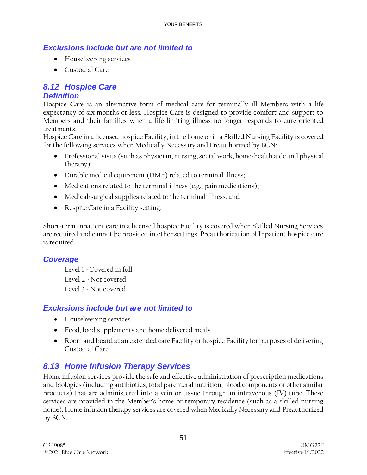- Housekeeping services
- Custodial Care

# *8.12 Hospice Care*

### *Definition*

Hospice Care is an alternative form of medical care for terminally ill Members with a life expectancy of six months or less. Hospice Care is designed to provide comfort and support to Members and their families when a life-limiting illness no longer responds to cure-oriented treatments.

Hospice Care in a licensed hospice Facility, in the home or in a Skilled Nursing Facility is covered for the following services when Medically Necessary and Preauthorized by BCN:

- Professional visits (such as physician, nursing, social work, home-health aide and physical therapy);
- Durable medical equipment (DME) related to terminal illness;
- Medications related to the terminal illness (e.g., pain medications);
- Medical/surgical supplies related to the terminal illness; and
- Respite Care in a Facility setting.

Short-term Inpatient care in a licensed hospice Facility is covered when Skilled Nursing Services are required and cannot be provided in other settings. Preauthorization of Inpatient hospice care is required.

### *Coverage*

Level 1 - Covered in full Level 2 - Not covered Level 3 - Not covered

## *Exclusions include but are not limited to*

- Housekeeping services
- Food, food supplements and home delivered meals
- Room and board at an extended care Facility or hospice Facility for purposes of delivering Custodial Care

## *8.13 Home Infusion Therapy Services*

Home infusion services provide the safe and effective administration of prescription medications and biologics (including antibiotics, total parenteral nutrition, blood components or other similar products) that are administered into a vein or tissue through an intravenous (IV) tube. These services are provided in the Member's home or temporary residence (such as a skilled nursing home). Home infusion therapy services are covered when Medically Necessary and Preauthorized by BCN.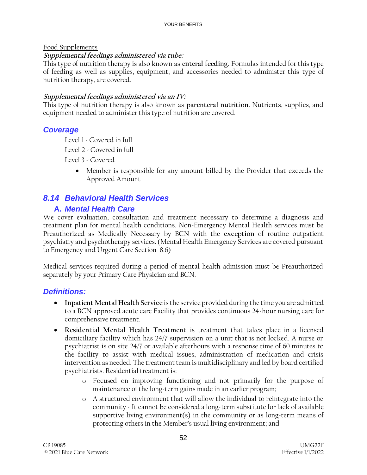#### Food Supplements

#### **Supplemental feedings administered via tube:**

This type of nutrition therapy is also known as **enteral feeding**. Formulas intended for this type of feeding as well as supplies, equipment, and accessories needed to administer this type of nutrition therapy, are covered.

#### **Supplemental feedings administered via an IV:**

This type of nutrition therapy is also known as **parenteral nutrition**. Nutrients, supplies, and equipment needed to administer this type of nutrition are covered.

#### *Coverage*

Level 1 - Covered in full

Level 2 - Covered in full

Level 3 - Covered

• Member is responsible for any amount billed by the Provider that exceeds the Approved Amount

## *8.14 Behavioral Health Services*

### **A.** *Mental Health Care*

We cover evaluation, consultation and treatment necessary to determine a diagnosis and treatment plan for mental health conditions. Non-Emergency Mental Health services must be Preauthorized as Medically Necessary by BCN with the **exception** of routine outpatient psychiatry and psychotherapy services. (Mental Health Emergency Services are covered pursuant to Emergency and Urgent Care Section 8.6)

Medical services required during a period of mental health admission must be Preauthorized separately by your Primary Care Physician and BCN.

#### *Definitions:*

- **Inpatient Mental Health Service** is the service provided during the time you are admitted to a BCN approved acute care Facility that provides continuous 24-hour nursing care for comprehensive treatment.
- **Residential Mental Health Treatment** is treatment that takes place in a licensed domiciliary facility which has 24/7 supervision on a unit that is not locked. A nurse or psychiatrist is on site 24/7 or available afterhours with a response time of 60 minutes to the facility to assist with medical issues, administration of medication and crisis intervention as needed. The treatment team is multidisciplinary and led by board certified psychiatrists. Residential treatment is:
	- o Focused on improving functioning and not primarily for the purpose of maintenance of the long-term gains made in an earlier program;
	- o A structured environment that will allow the individual to reintegrate into the community - It cannot be considered a long-term substitute for lack of available supportive living environment(s) in the community or as long-term means of protecting others in the Member's usual living environment; and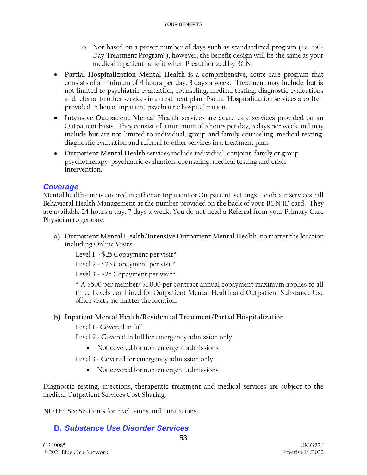- o Not based on a preset number of days such as standardized program (i.e. "30- Day Treatment Program"), however, the benefit design will be the same as your medical inpatient benefit when Preauthorized by BCN.
- **Partial Hospitalization Mental Health** is a comprehensive, acute care program that consists of a minimum of 4 hours per day, 3 days a week. Treatment may include, but is not limited to psychiatric evaluation, counseling, medical testing, diagnostic evaluations and referral to other services in a treatment plan. Partial Hospitalization services are often provided in lieu of inpatient psychiatric hospitalization.
- **Intensive Outpatient Mental Health** services are acute care services provided on an Outpatient basis. They consist of a minimum of 3 hours per day, 3 days per week and may include but are not limited to individual, group and family counseling, medical testing, diagnostic evaluation and referral to other services in a treatment plan.
- **Outpatient Mental Health** services include individual, conjoint, family or group psychotherapy, psychiatric evaluation, counseling, medical testing and crisis intervention.

### *Coverage*

Mental health care is covered in either an Inpatient or Outpatient settings. To obtain services call Behavioral Health Management at the number provided on the back of your BCN ID card. They are available 24 hours a day, 7 days a week. You do not need a Referral from your Primary Care Physician to get care.

**a) Outpatient Mental Health/Intensive Outpatient Mental Health**; no matter the location including Online Visits

Level 1 - \$25 Copayment per visit\*

Level 2 - \$25 Copayment per visit\*

Level 3 - \$25 Copayment per visit\*

\* A \$500 per member/ \$1,000 per contract annual copayment maximum applies to all three Levels combined for Outpatient Mental Health and Outpatient Substance Use office visits, no matter the location.

#### **b) Inpatient Mental Health/Residential Treatment/Partial Hospitalization**

Level 1 - Covered in full

Level 2 - Covered in full for emergency admission only

• Not covered for non-emergent admissions

Level 3 - Covered for emergency admission only

• Not covered for non-emergent admissions

Diagnostic testing, injections, therapeutic treatment and medical services are subject to the medical Outpatient Services Cost Sharing.

53

**NOTE**: See Section 9 for Exclusions and Limitations.

## **B.** *Substance Use Disorder Services*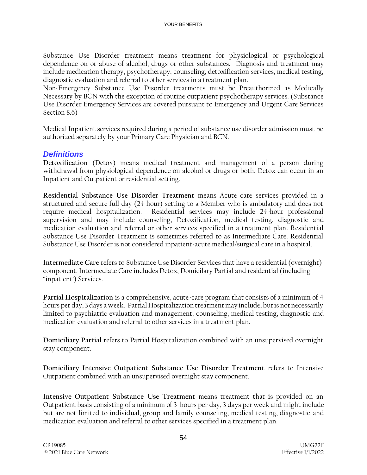Substance Use Disorder treatment means treatment for physiological or psychological dependence on or abuse of alcohol, drugs or other substances. Diagnosis and treatment may include medication therapy, psychotherapy, counseling, detoxification services, medical testing, diagnostic evaluation and referral to other services in a treatment plan.

Non-Emergency Substance Use Disorder treatments must be Preauthorized as Medically Necessary by BCN with the exception of routine outpatient psychotherapy services. (Substance Use Disorder Emergency Services are covered pursuant to Emergency and Urgent Care Services Section 8.6)

Medical Inpatient services required during a period of substance use disorder admission must be authorized separately by your Primary Care Physician and BCN.

### *Definitions*

**Detoxification** (Detox) means medical treatment and management of a person during withdrawal from physiological dependence on alcohol or drugs or both. Detox can occur in an Inpatient and Outpatient or residential setting.

**Residential Substance Use Disorder Treatment** means Acute care services provided in a structured and secure full day (24 hour) setting to a Member who is ambulatory and does not require medical hospitalization. Residential services may include 24-hour professional supervision and may include counseling, Detoxification, medical testing, diagnostic and medication evaluation and referral or other services specified in a treatment plan. Residential Substance Use Disorder Treatment is sometimes referred to as Intermediate Care. Residential Substance Use Disorder is not considered inpatient-acute medical/surgical care in a hospital.

**Intermediate Care** refers to Substance Use Disorder Services that have a residential (overnight) component. Intermediate Care includes Detox, Domicilary Partial and residential (including "inpatient') Services.

**Partial Hospitalization** is a comprehensive, acute-care program that consists of a minimum of 4 hours per day, 3 days a week. Partial Hospitalization treatment may include, but is not necessarily limited to psychiatric evaluation and management, counseling, medical testing, diagnostic and medication evaluation and referral to other services in a treatment plan.

**Domiciliary Partial** refers to Partial Hospitalization combined with an unsupervised overnight stay component.

**Domiciliary Intensive Outpatient Substance Use Disorder Treatment** refers to Intensive Outpatient combined with an unsupervised overnight stay component.

**Intensive Outpatient Substance Use Treatment** means treatment that is provided on an Outpatient basis consisting of a minimum of 3 hours per day, 3 days per week and might include but are not limited to individual, group and family counseling, medical testing, diagnostic and medication evaluation and referral to other services specified in a treatment plan.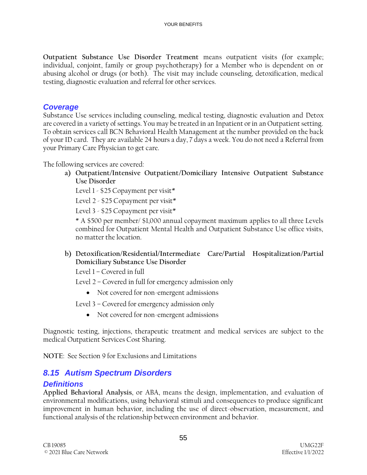**Outpatient Substance Use Disorder Treatment** means outpatient visits (for example; individual, conjoint, family or group psychotherapy) for a Member who is dependent on or abusing alcohol or drugs (or both). The visit may include counseling, detoxification, medical testing, diagnostic evaluation and referral for other services.

#### *Coverage*

Substance Use services including counseling, medical testing, diagnostic evaluation and Detox are covered in a variety of settings. You may be treated in an Inpatient or in an Outpatient setting. To obtain services call BCN Behavioral Health Management at the number provided on the back of your ID card. They are available 24 hours a day, 7 days a week. You do not need a Referral from your Primary Care Physician to get care.

The following services are covered:

**a) Outpatient/Intensive Outpatient/Domiciliary Intensive Outpatient Substance Use Disorder**

Level 1 - \$25 Copayment per visit\*

Level 2 - \$25 Copayment per visit\*

Level 3 - \$25 Copayment per visit\*

\* A \$500 per member/ \$1,000 annual copayment maximum applies to all three Levels combined for Outpatient Mental Health and Outpatient Substance Use office visits, no matter the location.

**b) Detoxification/Residential/Intermediate Care/Partial Hospitalization/Partial Domiciliary Substance Use Disorder**

Level 1 – Covered in full

- Level 2 Covered in full for emergency admission only
	- Not covered for non-emergent admissions

Level 3 – Covered for emergency admission only

• Not covered for non-emergent admissions

Diagnostic testing, injections, therapeutic treatment and medical services are subject to the medical Outpatient Services Cost Sharing.

**NOTE**: See Section 9 for Exclusions and Limitations

### *8.15 Autism Spectrum Disorders*

#### *Definitions*

**Applied Behavioral Analysis**, or ABA, means the design, implementation, and evaluation of environmental modifications, using behavioral stimuli and consequences to produce significant improvement in human behavior, including the use of direct-observation, measurement, and functional analysis of the relationship between environment and behavior.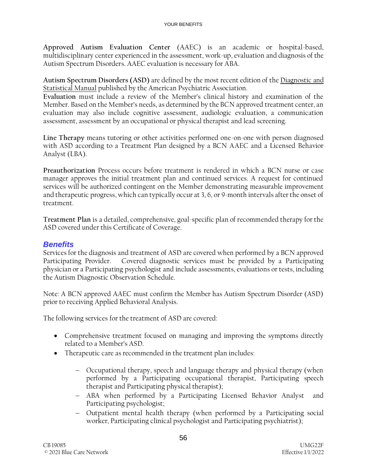**Approved Autism Evaluation Center** (AAEC) is an academic or hospital-based, multidisciplinary center experienced in the assessment, work-up, evaluation and diagnosis of the Autism Spectrum Disorders. AAEC evaluation is necessary for ABA.

**Autism Spectrum Disorders (ASD)** are defined by the most recent edition of the Diagnostic and Statistical Manual published by the American Psychiatric Association.

**Evaluation** must include a review of the Member's clinical history and examination of the Member. Based on the Member's needs, as determined by the BCN approved treatment center, an evaluation may also include cognitive assessment, audiologic evaluation, a communication assessment, assessment by an occupational or physical therapist and lead screening.

**Line Therapy** means tutoring or other activities performed one-on-one with person diagnosed with ASD according to a Treatment Plan designed by a BCN AAEC and a Licensed Behavior Analyst (LBA).

**Preauthorization** Process occurs before treatment is rendered in which a BCN nurse or case manager approves the initial treatment plan and continued services. A request for continued services will be authorized contingent on the Member demonstrating measurable improvement and therapeutic progress, which can typically occur at 3, 6, or 9-month intervals after the onset of treatment.

**Treatment Plan** is a detailed, comprehensive, goal-specific plan of recommended therapy for the ASD covered under this Certificate of Coverage.

#### *Benefits*

Services for the diagnosis and treatment of ASD are covered when performed by a BCN approved Participating Provider. Covered diagnostic services must be provided by a Participating physician or a Participating psychologist and include assessments, evaluations or tests, including the Autism Diagnostic Observation Schedule.

Note: A BCN approved AAEC must confirm the Member has Autism Spectrum Disorder (ASD) prior to receiving Applied Behavioral Analysis.

The following services for the treatment of ASD are covered:

- Comprehensive treatment focused on managing and improving the symptoms directly related to a Member's ASD.
- Therapeutic care as recommended in the treatment plan includes:
	- − Occupational therapy, speech and language therapy and physical therapy (when performed by a Participating occupational therapist, Participating speech therapist and Participating physical therapist);
	- − ABA when performed by a Participating Licensed Behavior Analyst and Participating psychologist;
	- − Outpatient mental health therapy (when performed by a Participating social worker, Participating clinical psychologist and Participating psychiatrist);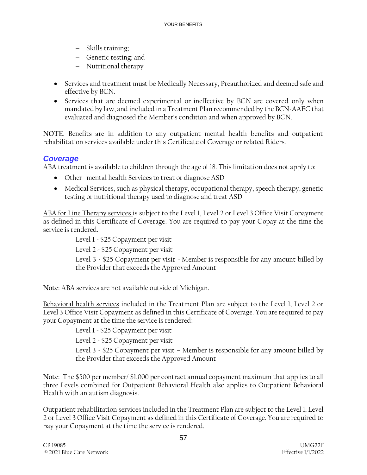- − Skills training;
- − Genetic testing; and
- − Nutritional therapy
- Services and treatment must be Medically Necessary, Preauthorized and deemed safe and effective by BCN.
- Services that are deemed experimental or ineffective by BCN are covered only when mandated by law, and included in a Treatment Plan recommended by the BCN-AAEC that evaluated and diagnosed the Member's condition and when approved by BCN.

**NOTE**: Benefits are in addition to any outpatient mental health benefits and outpatient rehabilitation services available under this Certificate of Coverage or related Riders.

### *Coverage*

ABA treatment is available to children through the age of 18. This limitation does not apply to:

- Other mental health Services to treat or diagnose ASD
- Medical Services, such as physical therapy, occupational therapy, speech therapy, genetic testing or nutritional therapy used to diagnose and treat ASD

ABA for Line Therapy services is subject to the Level 1, Level 2 or Level 3 Office Visit Copayment as defined in this Certificate of Coverage. You are required to pay your Copay at the time the service is rendered.

Level 1 - \$25 Copayment per visit

Level 2 - \$25 Copayment per visit

Level 3 - \$25 Copayment per visit - Member is responsible for any amount billed by the Provider that exceeds the Approved Amount

**Note**: ABA services are not available outside of Michigan.

Behavioral health services included in the Treatment Plan are subject to the Level 1, Level 2 or Level 3 Office Visit Copayment as defined in this Certificate of Coverage. You are required to pay your Copayment at the time the service is rendered:

Level 1 - \$25 Copayment per visit

Level 2 - \$25 Copayment per visit

Level 3 - \$25 Copayment per visit – Member is responsible for any amount billed by the Provider that exceeds the Approved Amount

**Note**: The \$500 per member/ \$1,000 per contract annual copayment maximum that applies to all three Levels combined for Outpatient Behavioral Health also applies to Outpatient Behavioral Health with an autism diagnosis.

Outpatient rehabilitation services included in the Treatment Plan are subject to the Level 1, Level 2 or Level 3 Office Visit Copayment as defined in this Certificate of Coverage. You are required to pay your Copayment at the time the service is rendered.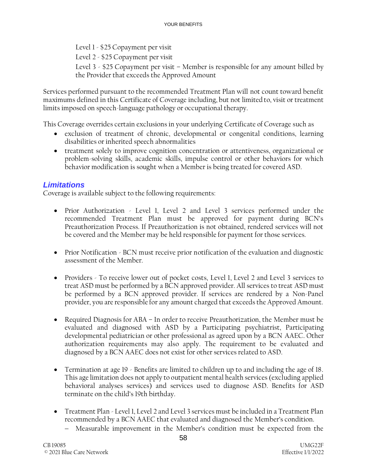Level 1 - \$25 Copayment per visit Level 2 - \$25 Copayment per visit Level 3 - \$25 Copayment per visit – Member is responsible for any amount billed by the Provider that exceeds the Approved Amount

Services performed pursuant to the recommended Treatment Plan will not count toward benefit maximums defined in this Certificate of Coverage including, but not limited to, visit or treatment limits imposed on speech-language pathology or occupational therapy.

This Coverage overrides certain exclusions in your underlying Certificate of Coverage such as

- exclusion of treatment of chronic, developmental or congenital conditions, learning disabilities or inherited speech abnormalities
- treatment solely to improve cognition concentration or attentiveness, organizational or problem-solving skills, academic skills, impulse control or other behaviors for which behavior modification is sought when a Member is being treated for covered ASD.

### *Limitations*

Coverage is available subject to the following requirements:

- Prior Authorization Level 1, Level 2 and Level 3 services performed under the recommended Treatment Plan must be approved for payment during BCN's Preauthorization Process. If Preauthorization is not obtained, rendered services will not be covered and the Member may be held responsible for payment for those services.
- Prior Notification BCN must receive prior notification of the evaluation and diagnostic assessment of the Member.
- Providers To receive lower out of pocket costs, Level 1, Level 2 and Level 3 services to treat ASD must be performed by a BCN approved provider. All services to treat ASD must be performed by a BCN approved provider. If services are rendered by a Non-Panel provider, you are responsible for any amount charged that exceeds the Approved Amount.
- Required Diagnosis for ABA In order to receive Preauthorization, the Member must be evaluated and diagnosed with ASD by a Participating psychiatrist, Participating developmental pediatrician or other professional as agreed upon by a BCN AAEC. Other authorization requirements may also apply. The requirement to be evaluated and diagnosed by a BCN AAEC does not exist for other services related to ASD.
- Termination at age 19 Benefits are limited to children up to and including the age of 18. This age limitation does not apply to outpatient mental health services (excluding applied behavioral analyses services) and services used to diagnose ASD. Benefits for ASD terminate on the child's 19th birthday.
- Treatment Plan Level 1, Level 2 and Level 3 services must be included in a Treatment Plan recommended by a BCN AAEC that evaluated and diagnosed the Member's condition.
	- − Measurable improvement in the Member's condition must be expected from the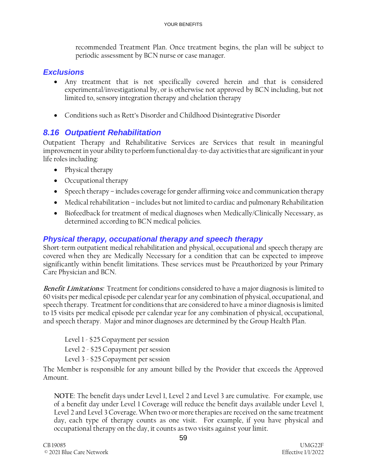recommended Treatment Plan. Once treatment begins, the plan will be subject to periodic assessment by BCN nurse or case manager.

### *Exclusions*

- Any treatment that is not specifically covered herein and that is considered experimental/investigational by, or is otherwise not approved by BCN including, but not limited to, sensory integration therapy and chelation therapy
- Conditions such as Rett's Disorder and Childhood Disintegrative Disorder

## *8.16 Outpatient Rehabilitation*

Outpatient Therapy and Rehabilitative Services are Services that result in meaningful improvement in your ability to perform functional day-to-day activities that are significant in your life roles including:

- Physical therapy
- Occupational therapy
- Speech therapy includes coverage for gender affirming voice and communication therapy
- Medical rehabilitation includes but not limited to cardiac and pulmonary Rehabilitation
- Biofeedback for treatment of medical diagnoses when Medically/Clinically Necessary, as determined according to BCN medical policies.

### *Physical therapy, occupational therapy and speech therapy*

Short-term outpatient medical rehabilitation and physical, occupational and speech therapy are covered when they are Medically Necessary for a condition that can be expected to improve significantly within benefit limitations. These services must be Preauthorized by your Primary Care Physician and BCN.

**Benefit Limitations:** Treatment for conditions considered to have a major diagnosis is limited to 60 visits per medical episode per calendar year for any combination of physical, occupational, and speech therapy. Treatment for conditions that are considered to have a minor diagnosis islimited to 15 visits per medical episode per calendar year for any combination of physical, occupational, and speech therapy. Major and minor diagnoses are determined by the Group Health Plan.

Level 1 - \$25 Copayment per session

Level 2 - \$25 Copayment per session

Level 3 - \$25 Copayment per session

The Member is responsible for any amount billed by the Provider that exceeds the Approved Amount.

**NOTE**: The benefit days under Level 1, Level 2 and Level 3 are cumulative. For example, use of a benefit day under Level 1 Coverage will reduce the benefit days available under Level 1, Level 2 and Level 3 Coverage. When two or more therapies are received on the same treatment day, each type of therapy counts as one visit. For example, if you have physical and occupational therapy on the day, it counts as two visits against your limit.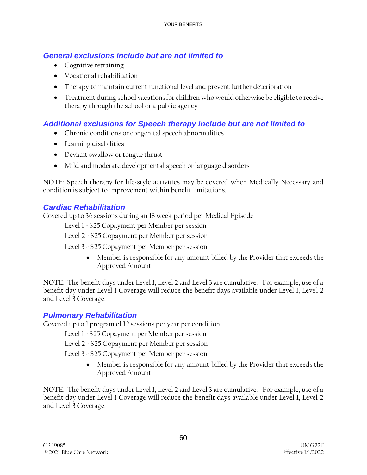## *General exclusions include but are not limited to*

- Cognitive retraining
- Vocational rehabilitation
- Therapy to maintain current functional level and prevent further deterioration
- Treatment during school vacations for children who would otherwise be eligible to receive therapy through the school or a public agency

## *Additional exclusions for Speech therapy include but are not limited to*

- Chronic conditions or congenital speech abnormalities
- Learning disabilities
- Deviant swallow or tongue thrust
- Mild and moderate developmental speech or language disorders

**NOTE**: Speech therapy for life-style activities may be covered when Medically Necessary and condition is subject to improvement within benefit limitations.

### *Cardiac Rehabilitation*

Covered up to 36 sessions during an 18 week period per Medical Episode

Level 1 - \$25 Copayment per Member per session

Level 2 - \$25 Copayment per Member per session

Level 3 - \$25 Copayment per Member per session

• Member is responsible for any amount billed by the Provider that exceeds the Approved Amount

**NOTE**: The benefit days under Level 1, Level 2 and Level 3 are cumulative. For example, use of a benefit day under Level 1 Coverage will reduce the benefit days available under Level 1, Level 2 and Level 3 Coverage.

### *Pulmonary Rehabilitation*

Covered up to 1 program of 12 sessions per year per condition

- Level 1 \$25 Copayment per Member per session
- Level 2 \$25 Copayment per Member per session
- Level 3 \$25 Copayment per Member per session
	- Member is responsible for any amount billed by the Provider that exceeds the Approved Amount

**NOTE**: The benefit days under Level 1, Level 2 and Level 3 are cumulative. For example, use of a benefit day under Level 1 Coverage will reduce the benefit days available under Level 1, Level 2 and Level 3 Coverage.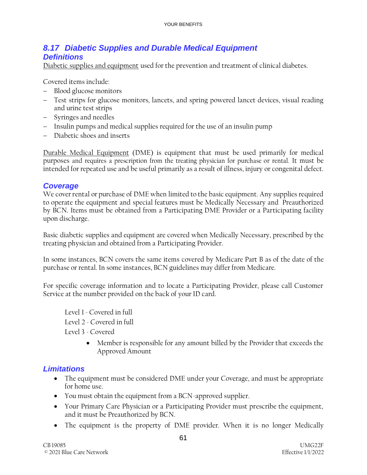### *8.17 Diabetic Supplies and Durable Medical Equipment Definitions*

Diabetic supplies and equipment used for the prevention and treatment of clinical diabetes.

Covered items include:

- − Blood glucose monitors
- Test strips for glucose monitors, lancets, and spring powered lancet devices, visual reading and urine test strips
- − Syringes and needles
- − Insulin pumps and medical supplies required for the use of an insulin pump
- − Diabetic shoes and inserts

Durable Medical Equipment (DME) is equipment that must be used primarily for medical purposes and requires a prescription from the treating physician for purchase or rental. It must be intended for repeated use and be useful primarily as a result of illness, injury or congenital defect.

#### *Coverage*

We cover rental or purchase of DME when limited to the basic equipment. Any supplies required to operate the equipment and special features must be Medically Necessary and Preauthorized by BCN. Items must be obtained from a Participating DME Provider or a Participating facility upon discharge.

Basic diabetic supplies and equipment are covered when Medically Necessary, prescribed by the treating physician and obtained from a Participating Provider.

In some instances, BCN covers the same items covered by Medicare Part B as of the date of the purchase or rental. In some instances, BCN guidelines may differ from Medicare.

For specific coverage information and to locate a Participating Provider, please call Customer Service at the number provided on the back of your ID card.

Level 1 - Covered in full Level 2 - Covered in full Level 3 - Covered

> • Member is responsible for any amount billed by the Provider that exceeds the Approved Amount

## *Limitations*

- The equipment must be considered DME under your Coverage, and must be appropriate for home use.
- You must obtain the equipment from a BCN-approved supplier.
- Your Primary Care Physician or a Participating Provider must prescribe the equipment, and it must be Preauthorized by BCN.
- The equipment is the property of DME provider. When it is no longer Medically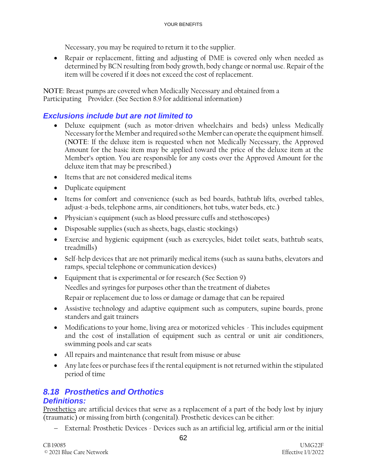Necessary, you may be required to return it to the supplier.

• Repair or replacement, fitting and adjusting of DME is covered only when needed as determined by BCN resulting from body growth, body change or normal use. Repair of the item will be covered if it does not exceed the cost of replacement.

**NOTE**: Breast pumps are covered when Medically Necessary and obtained from a Participating Provider. (See Section 8.9 for additional information)

### *Exclusions include but are not limited to*

- Deluxe equipment (such as motor-driven wheelchairs and beds) unless Medically Necessary for the Member and required so the Member can operate the equipment himself. (**NOTE**: If the deluxe item is requested when not Medically Necessary, the Approved Amount for the basic item may be applied toward the price of the deluxe item at the Member's option. You are responsible for any costs over the Approved Amount for the deluxe item that may be prescribed.)
- Items that are not considered medical items
- Duplicate equipment
- Items for comfort and convenience (such as bed boards, bathtub lifts, overbed tables, adjust-a-beds, telephone arms, air conditioners, hot tubs, water beds, etc.)
- Physician's equipment (such as blood pressure cuffs and stethoscopes)
- Disposable supplies (such as sheets, bags, elastic stockings)
- Exercise and hygienic equipment (such as exercycles, bidet toilet seats, bathtub seats, treadmills)
- Self-help devices that are not primarily medical items (such as sauna baths, elevators and ramps, special telephone or communication devices)
- Equipment that is experimental or for research (See Section 9) Needles and syringes for purposes other than the treatment of diabetes Repair or replacement due to loss or damage or damage that can be repaired
- Assistive technology and adaptive equipment such as computers, supine boards, prone standers and gait trainers
- Modifications to your home, living area or motorized vehicles  $\overline{\cdot}$  This includes equipment and the cost of installation of equipment such as central or unit air conditioners, swimming pools and car seats
- All repairs and maintenance that result from misuse or abuse
- Any late fees or purchase fees if the rental equipment is not returned within the stipulated period of time

#### *8.18 Prosthetics and Orthotics Definitions:*

Prosthetics are artificial devices that serve as a replacement of a part of the body lost by injury (traumatic) or missing from birth (congenital). Prosthetic devices can be either:

− External: Prosthetic Devices - Devices such as an artificial leg, artificial arm or the initial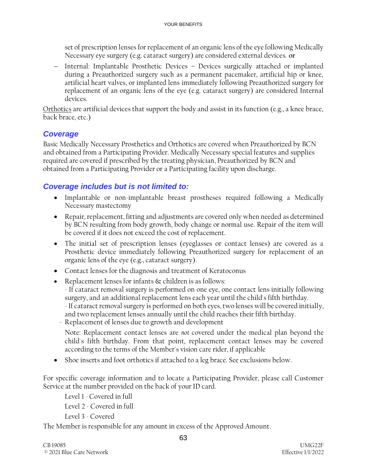set of prescription lenses for replacement of an organic lens of the eye following Medically Necessary eye surgery (e.g. cataract surgery) are considered external devices. **or**

− Internal: Implantable Prosthetic Devices – Devices surgically attached or implanted during a Preauthorized surgery such as a permanent pacemaker, artificial hip or knee, artificial heart valves, or implanted lens immediately following Preauthorized surgery for replacement of an organic lens of the eye (e.g. cataract surgery) are considered Internal devices.

Orthotics are artificial devices that support the body and assist in its function (e.g., a knee brace, back brace, etc.)

## *Coverage*

Basic Medically Necessary Prosthetics and Orthotics are covered when Preauthorized by BCN and obtained from a Participating Provider. Medically Necessary special features and supplies required are covered if prescribed by the treating physician, Preauthorized by BCN and obtained from a Participating Provider or a Participating facility upon discharge.

## *Coverage includes but is not limited to:*

- Implantable or non-implantable breast prostheses required following a Medically Necessary mastectomy
- Repair, replacement, fitting and adjustments are covered only when needed as determined by BCN resulting from body growth, body change or normal use. Repair of the item will be covered if it does not exceed the cost of replacement.
- The initial set of prescription lenses (eyeglasses or contact lenses) are covered as a Prosthetic device immediately following Preauthorized surgery for replacement of an organic lens of the eye (e.g., cataract surgery).
- Contact lenses for the diagnosis and treatment of Keratoconus
- Replacement lenses for infants & children is as follows: - If cataract removal surgery is performed on one eye, one contact lens initially following surgery, and an additional replacement lens each year until the child's fifth birthday. - If cataract removal surgery is performed on both eyes, two lenses will be covered initially, and two replacement lenses annually until the child reaches their fifth birthday.
	- Replacement of lenses due to growth and development

Note: Replacement contact lenses are *not* covered under the medical plan beyond the child's fifth birthday. From that point, replacement contact lenses may be covered according to the terms of the Member's vision care rider, if applicable

• Shoe inserts and foot orthotics if attached to a leg brace. See exclusions below.

For specific coverage information and to locate a Participating Provider, please call Customer Service at the number provided on the back of your ID card.

```
Level 1 - Covered in full
Level 2 - Covered in full
Level 3 - Covered
```
The Member is responsible for any amount in excess of the Approved Amount.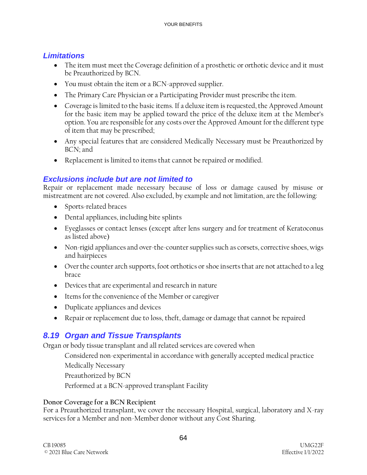### *Limitations*

- The item must meet the Coverage definition of a prosthetic or orthotic device and it must be Preauthorized by BCN.
- You must obtain the item or a BCN-approved supplier.
- The Primary Care Physician or a Participating Provider must prescribe the item.
- Coverage is limited to the basic items. If a deluxe item is requested, the Approved Amount for the basic item may be applied toward the price of the deluxe item at the Member's option. You are responsible for any costs over the Approved Amount for the different type of item that may be prescribed;
- Any special features that are considered Medically Necessary must be Preauthorized by BCN; and
- Replacement is limited to items that cannot be repaired or modified.

### *Exclusions include but are not limited to*

Repair or replacement made necessary because of loss or damage caused by misuse or mistreatment are not covered. Also excluded, by example and not limitation, are the following:

- Sports-related braces
- Dental appliances, including bite splints
- Eyeglasses or contact lenses (except after lens surgery and for treatment of Keratoconus as listed above)
- Non-rigid appliances and over-the-counter supplies such as corsets, corrective shoes, wigs and hairpieces
- Over the counter arch supports, foot orthotics or shoe inserts that are not attached to a leg brace
- Devices that are experimental and research in nature
- Items for the convenience of the Member or caregiver
- Duplicate appliances and devices
- Repair or replacement due to loss, theft, damage or damage that cannot be repaired

## *8.19 Organ and Tissue Transplants*

Organ or body tissue transplant and all related services are covered when

Considered non-experimental in accordance with generally accepted medical practice Medically Necessary Preauthorized by BCN Performed at a BCN-approved transplant Facility

#### **Donor Coverage for a BCN Recipient**

For a Preauthorized transplant, we cover the necessary Hospital, surgical, laboratory and  $X$ -ray services for a Member and non-Member donor without any Cost Sharing.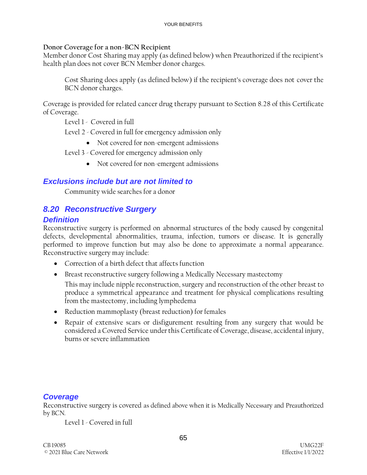#### **Donor Coverage for a non-BCN Recipient**

Member donor Cost Sharing may apply (as defined below) when Preauthorized if the recipient's health plan does not cover BCN Member donor charges.

Cost Sharing does apply (as defined below) if the recipient's coverage does not cover the BCN donor charges.

Coverage is provided for related cancer drug therapy pursuant to Section 8.28 of this Certificate of Coverage.

Level 1 - Covered in full

Level 2 - Covered in full for emergency admission only

• Not covered for non-emergent admissions

Level 3 - Covered for emergency admission only

• Not covered for non-emergent admissions

### *Exclusions include but are not limited to*

Community wide searches for a donor

## *8.20 Reconstructive Surgery*

### *Definition*

Reconstructive surgery is performed on abnormal structures of the body caused by congenital defects, developmental abnormalities, trauma, infection, tumors or disease. It is generally performed to improve function but may also be done to approximate a normal appearance. Reconstructive surgery may include:

- Correction of a birth defect that affects function
- Breast reconstructive surgery following a Medically Necessary mastectomy

This may include nipple reconstruction, surgery and reconstruction of the other breast to produce a symmetrical appearance and treatment for physical complications resulting from the mastectomy, including lymphedema

- Reduction mammoplasty (breast reduction) for females
- Repair of extensive scars or disfigurement resulting from any surgery that would be considered a Covered Service under this Certificate of Coverage, disease, accidental injury, burns or severe inflammation

#### *Coverage*

Reconstructive surgery is covered as defined above when it is Medically Necessary and Preauthorized by BCN.

Level 1 - Covered in full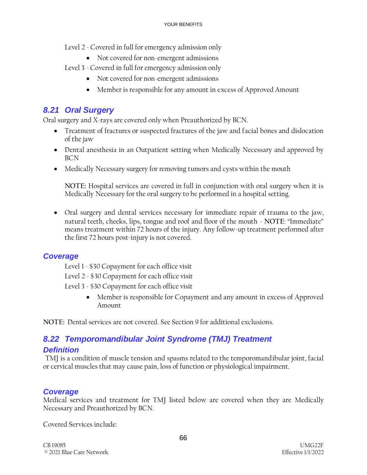Level 2 - Covered in full for emergency admission only

- Not covered for non-emergent admissions
- Level 3 Covered in full for emergency admission only
	- Not covered for non-emergent admissions
	- Member is responsible for any amount in excess of Approved Amount

## *8.21 Oral Surgery*

Oral surgery and X-rays are covered only when Preauthorized by BCN.

- Treatment of fractures or suspected fractures of the jaw and facial bones and dislocation of the jaw
- Dental anesthesia in an Outpatient setting when Medically Necessary and approved by BCN
- Medically Necessary surgery for removing tumors and cysts within the mouth

**NOTE:** Hospital services are covered in full in conjunction with oral surgery when it is Medically Necessary for the oral surgery to be performed in a hospital setting.

• Oral surgery and dental services necessary for immediate repair of trauma to the jaw, natural teeth, cheeks, lips, tongue and roof and floor of the mouth - **NOTE**: "Immediate" means treatment within 72 hours of the injury. Any follow-up treatment performed after the first 72 hours post-injury is not covered.

### *Coverage*

Level 1 - \$30 Copayment for each office visit

Level 2 - \$30 Copayment for each office visit

Level 3 - \$30 Copayment for each office visit

• Member is responsible for Copayment and any amount in excess of Approved Amount

**NOTE:** Dental services are not covered. See Section 9 for additional exclusions.

# *8.22 Temporomandibular Joint Syndrome (TMJ) Treatment*

## *Definition*

TMJ is a condition of muscle tension and spasms related to the temporomandibular joint, facial or cervical muscles that may cause pain, loss of function or physiological impairment.

### *Coverage*

Medical services and treatment for TMJ listed below are covered when they are Medically Necessary and Preauthorized by BCN.

Covered Services include: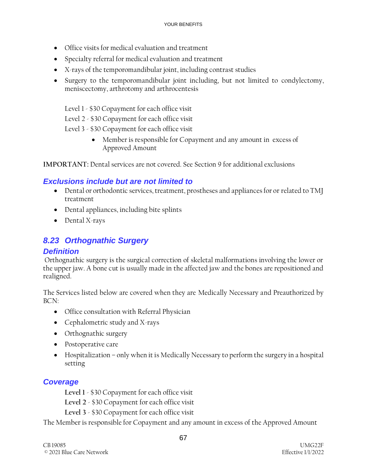- Office visits for medical evaluation and treatment
- Specialty referral for medical evaluation and treatment
- X-rays of the temporomandibular joint, including contrast studies
- Surgery to the temporomandibular joint including, but not limited to condylectomy, meniscectomy, arthrotomy and arthrocentesis

Level 1 - \$30 Copayment for each office visit

Level 2 - \$30 Copayment for each office visit

Level 3 - \$30 Copayment for each office visit

• Member is responsible for Copayment and any amount in excess of Approved Amount

**IMPORTANT:** Dental services are not covered. See Section 9 for additional exclusions

## *Exclusions include but are not limited to*

- Dental or orthodontic services, treatment, prostheses and appliances for or related to TMJ treatment
- Dental appliances, including bite splints
- Dental X-rays

# *8.23 Orthognathic Surgery*

### *Definition*

Orthognathic surgery is the surgical correction of skeletal malformations involving the lower or the upper jaw. A bone cut is usually made in the affected jaw and the bones are repositioned and realigned.

The Services listed below are covered when they are Medically Necessary and Preauthorized by BCN:

- Office consultation with Referral Physician
- Cephalometric study and X-rays
- Orthognathic surgery
- Postoperative care
- Hospitalization only when it is Medically Necessary to perform the surgery in a hospital setting

## *Coverage*

**Level 1** - \$30 Copayment for each office visit

**Level 2** - \$30 Copayment for each office visit

**Level 3** - \$30 Copayment for each office visit

The Member is responsible for Copayment and any amount in excess of the Approved Amount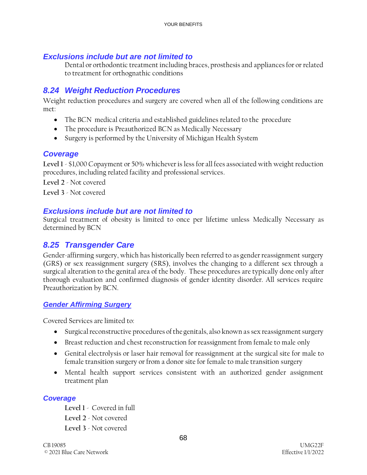Dental or orthodontic treatment including braces, prosthesis and appliances for or related to treatment for orthognathic conditions

### *8.24 Weight Reduction Procedures*

Weight reduction procedures and surgery are covered when all of the following conditions are met:

- The BCN medical criteria and established guidelines related to the procedure
- The procedure is Preauthorized BCN as Medically Necessary
- Surgery is performed by the University of Michigan Health System

### *Coverage*

**Level 1** - \$1,000 Copayment or 50% whichever is less for all fees associated with weight reduction procedures, including related facility and professional services.

**Level 2** - Not covered **Level 3** - Not covered

#### *Exclusions include but are not limited to*

Surgical treatment of obesity is limited to once per lifetime unless Medically Necessary as determined by BCN

### *8.25 Transgender Care*

Gender-affirming surgery, which has historically been referred to as gender reassignment surgery (GRS) or sex reassignment surgery (SRS), involves the changing to a different sex through a surgical alteration to the genital area of the body. These procedures are typically done only after thorough evaluation and confirmed diagnosis of gender identity disorder. All services require Preauthorization by BCN.

#### *Gender Affirming Surgery*

Covered Services are limited to:

- Surgical reconstructive procedures of the genitals, also known as sex reassignment surgery
- Breast reduction and chest reconstruction for reassignment from female to male only
- Genital electrolysis or laser hair removal for reassignment at the surgical site for male to female transition surgery or from a donor site for female to male transition surgery
- Mental health support services consistent with an authorized gender assignment treatment plan

#### *Coverage*

**Level 1** - Covered in full **Level 2** - Not covered **Level 3** - Not covered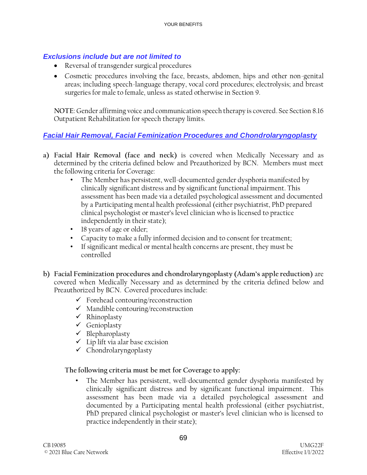- Reversal of transgender surgical procedures
- Cosmetic procedures involving the face, breasts, abdomen, hips and other non-genital areas; including speech-language therapy, vocal cord procedures; electrolysis; and breast surgeries for male to female, unless as stated otherwise in Section 9.

**NOTE**: Gender affirming voice and communication speech therapy is covered. See Section 8.16 Outpatient Rehabilitation for speech therapy limits.

### *Facial Hair Removal, Facial Feminization Procedures and Chondrolaryngoplasty*

- **a) Facial Hair Removal (face and neck)** is covered when Medically Necessary and as determined by the criteria defined below and Preauthorized by BCN. Members must meet the following criteria for Coverage:
	- The Member has persistent, well-documented gender dysphoria manifested by clinically significant distress and by significant functional impairment. This assessment has been made via a detailed psychological assessment and documented by a Participating mental health professional (either psychiatrist, PhD prepared clinical psychologist or master's level clinician who is licensed to practice independently in their state);
	- 18 years of age or older;
	- Capacity to make a fully informed decision and to consent for treatment;
	- If significant medical or mental health concerns are present, they must be controlled
- **b) Facial Feminization procedures and chondrolaryngoplasty (Adam's apple reduction)** are covered when Medically Necessary and as determined by the criteria defined below and Preauthorized by BCN. Covered procedures include:
	- $\checkmark$  Forehead contouring/reconstruction
	- $\checkmark$  Mandible contouring/reconstruction
	- ✓ Rhinoplasty
	- ✓ Genioplasty
	- ✓ Blepharoplasty
	- $\checkmark$  Lip lift via alar base excision
	- $\checkmark$  Chondrolaryngoplasty

#### **The following criteria must be met for Coverage to apply:**

The Member has persistent, well-documented gender dysphoria manifested by clinically significant distress and by significant functional impairment. This assessment has been made via a detailed psychological assessment and documented by a Participating mental health professional (either psychiatrist, PhD prepared clinical psychologist or master's level clinician who is licensed to practice independently in their state);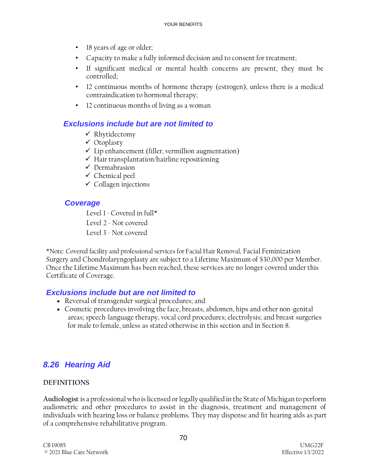- 18 years of age or older;
- Capacity to make a fully informed decision and to consent for treatment;
- If significant medical or mental health concerns are present, they must be controlled;
- 12 continuous months of hormone therapy (estrogen), unless there is a medical contraindication to hormonal therapy;
- 12 continuous months of living as a woman

- ✓ Rhytidectomy
- ✓ Otoplasty
- $\checkmark$  Lip enhancement (filler, vermillion augmentation)
- $\checkmark$  Hair transplantation/hairline repositioning
- ✓ Dermabrasion
- $\checkmark$  Chemical peel
- $\checkmark$  Collagen injections

#### *Coverage*

Level 1 - Covered in full\*

- Level 2 Not covered
- Level 3 Not covered

\*Note: Covered facility and professional services for Facial Hair Removal, Facial Feminization Surgery and Chondrolaryngoplasty are subject to a Lifetime Maximum of \$30,000 per Member. Once the Lifetime Maximum has been reached, these services are no longer covered under this Certificate of Coverage.

### *Exclusions include but are not limited to*

- Reversal of transgender surgical procedures; and
- Cosmetic procedures involving the face, breasts, abdomen, hips and other non-genital areas; speech-language therapy, vocal cord procedures; electrolysis; and breast surgeries for male to female, unless as stated otherwise in this section and in Section 8.

## *8.26 Hearing Aid*

#### **DEFINITIONS**

**Audiologist** is a professional who is licensed or legally qualified in the State of Michigan to perform audiometric and other procedures to assist in the diagnosis, treatment and management of individuals with hearing loss or balance problems. They may dispense and fit hearing aids as part of a comprehensive rehabilitative program.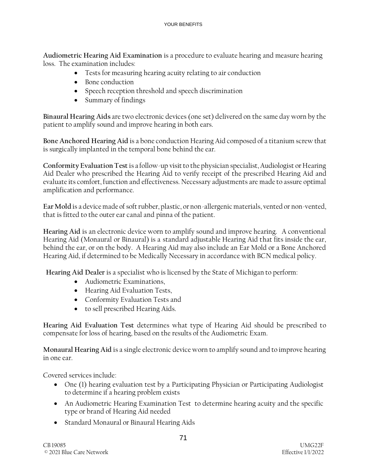**Audiometric Hearing Aid Examination** is a procedure to evaluate hearing and measure hearing loss. The examination includes:

- Tests for measuring hearing acuity relating to air conduction
- Bone conduction
- Speech reception threshold and speech discrimination
- Summary of findings

**Binaural Hearing Aids** are two electronic devices (one set) delivered on the same day worn by the patient to amplify sound and improve hearing in both ears.

**Bone Anchored Hearing Aid** is a bone conduction Hearing Aid composed of a titanium screw that is surgically implanted in the temporal bone behind the ear.

**Conformity Evaluation Test**is a follow-up visit to the physician specialist, Audiologist or Hearing Aid Dealer who prescribed the Hearing Aid to verify receipt of the prescribed Hearing Aid and evaluate its comfort, function and effectiveness. Necessary adjustments are made to assure optimal amplification and performance.

**Ear Mold**is a device made of soft rubber, plastic, or non-allergenic materials, vented or non-vented, that is fitted to the outer ear canal and pinna of the patient.

**Hearing Aid** is an electronic device worn to amplify sound and improve hearing. A conventional Hearing Aid (Monaural or Binaural) is a standard adjustable Hearing Aid that fits inside the ear, behind the ear, or on the body. A Hearing Aid may also include an Ear Mold or a Bone Anchored Hearing Aid, if determined to be Medically Necessary in accordance with BCN medical policy.

**Hearing Aid Dealer** is a specialist who is licensed by the State of Michigan to perform:

- Audiometric Examinations,
- Hearing Aid Evaluation Tests,
- Conformity Evaluation Tests and
- to sell prescribed Hearing Aids.

**Hearing Aid Evaluation Test** determines what type of Hearing Aid should be prescribed to compensate for loss of hearing, based on the results of the Audiometric Exam.

**Monaural Hearing Aid** is a single electronic device worn to amplify sound and to improve hearing in one ear.

Covered services include:

- One (1) hearing evaluation test by a Participating Physician or Participating Audiologist to determine if a hearing problem exists
- An Audiometric Hearing Examination Test to determine hearing acuity and the specific type or brand of Hearing Aid needed
- Standard Monaural or Binaural Hearing Aids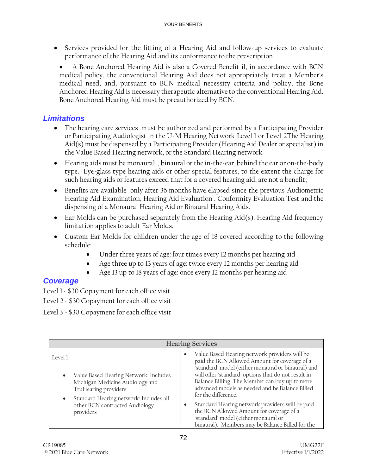• Services provided for the fitting of a Hearing Aid and follow-up services to evaluate performance of the Hearing Aid and its conformance to the prescription

• A Bone Anchored Hearing Aid is also a Covered Benefit if, in accordance with BCN medical policy, the conventional Hearing Aid does not appropriately treat a Member's medical need, and, pursuant to BCN medical necessity criteria and policy, the Bone Anchored Hearing Aid is necessary therapeutic alternative to the conventional Hearing Aid. Bone Anchored Hearing Aid must be preauthorized by BCN.

## *Limitations*

- The hearing care services must be authorized and performed by a Participating Provider or Participating Audiologist in the U-M Hearing Network Level 1 or Level 2The Hearing Aid(s) must be dispensed by a Participating Provider (Hearing Aid Dealer or specialist) in the Value Based Hearing network, or the Standard Hearing network
- Hearing aids must be monaural, , binaural or the in-the-ear, behind the ear or on-the-body type. Eye-glass type hearing aids or other special features, to the extent the charge for such hearing aids or features exceed that for a covered hearing aid, are not a benefit;
- Benefits are available only after 36 months have elapsed since the previous Audiometric Hearing Aid Examination, Hearing Aid Evaluation , Conformity Evaluation Test and the dispensing of a Monaural Hearing Aid or Binaural Hearing Aids.
- Ear Molds can be purchased separately from the Hearing Aid(s). Hearing Aid frequency limitation applies to adult Ear Molds.
- Custom Ear Molds for children under the age of 18 covered according to the following schedule:
	- Under three years of age: four times every 12 months per hearing aid
	- Age three up to 13 years of age: twice every 12 months per hearing aid
	- Age 13 up to 18 years of age: once every 12 months per hearing aid

## *Coverage*

- Level 1 \$30 Copayment for each office visit
- Level 2 \$30 Copayment for each office visit
- Level 3 \$30 Copayment for each office visit

| <b>Hearing Services</b>                                                                                                                                                                                                        |                                                                                                                                                                                                                                                                                                                                                                                                                                                                                                                                    |  |
|--------------------------------------------------------------------------------------------------------------------------------------------------------------------------------------------------------------------------------|------------------------------------------------------------------------------------------------------------------------------------------------------------------------------------------------------------------------------------------------------------------------------------------------------------------------------------------------------------------------------------------------------------------------------------------------------------------------------------------------------------------------------------|--|
| Level 1<br>Value Based Hearing Network: Includes<br>$\bullet$<br>Michigan Medicine Audiology and<br>TruHearing providers<br>Standard Hearing network: Includes all<br>$\bullet$<br>other BCN contracted Audiology<br>providers | Value Based Hearing network providers will be<br>paid the BCN Allowed Amount for coverage of a<br>'standard' model (either monaural or binaural) and<br>will offer 'standard' options that do not result in<br>Balance Billing. The Member can buy up to more<br>advanced models as needed and be Balance Billed<br>for the difference.<br>Standard Hearing network providers will be paid<br>the BCN Allowed Amount for coverage of a<br>'standard' model (either monaural or<br>binaural). Members may be Balance Billed for the |  |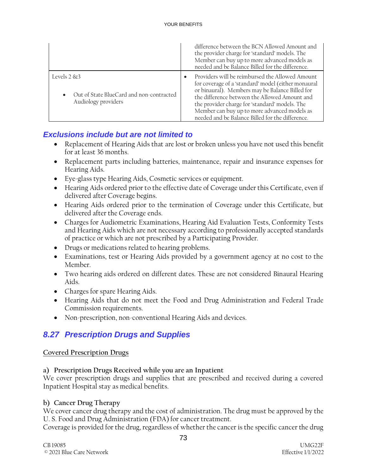|                                                                                 | difference between the BCN Allowed Amount and<br>the provider charge for 'standard' models. The<br>Member can buy up to more advanced models as<br>needed and be Balance Billed for the difference.                                                                                                                                                                           |
|---------------------------------------------------------------------------------|-------------------------------------------------------------------------------------------------------------------------------------------------------------------------------------------------------------------------------------------------------------------------------------------------------------------------------------------------------------------------------|
| Levels $263$<br>Out of State BlueCard and non-contracted<br>Audiology providers | Providers will be reimbursed the Allowed Amount<br>$\bullet$<br>for coverage of a 'standard' model (either monaural<br>or binaural). Members may be Balance Billed for<br>the difference between the Allowed Amount and<br>the provider charge for 'standard' models. The<br>Member can buy up to more advanced models as<br>needed and be Balance Billed for the difference. |

- Replacement of Hearing Aids that are lost or broken unless you have not used this benefit for at least 36 months.
- Replacement parts including batteries, maintenance, repair and insurance expenses for Hearing Aids.
- Eye-glass type Hearing Aids, Cosmetic services or equipment.
- Hearing Aids ordered prior to the effective date of Coverage under this Certificate, even if delivered after Coverage begins.
- Hearing Aids ordered prior to the termination of Coverage under this Certificate, but delivered after the Coverage ends.
- Charges for Audiometric Examinations, Hearing Aid Evaluation Tests, Conformity Tests and Hearing Aids which are not necessary according to professionally accepted standards of practice or which are not prescribed by a Participating Provider.
- Drugs or medications related to hearing problems.
- Examinations, test or Hearing Aids provided by a government agency at no cost to the Member.
- Two hearing aids ordered on different dates. These are not considered Binaural Hearing Aids.
- Charges for spare Hearing Aids.
- Hearing Aids that do not meet the Food and Drug Administration and Federal Trade Commission requirements.
- Non-prescription, non-conventional Hearing Aids and devices.

## *8.27 Prescription Drugs and Supplies*

#### **Covered Prescription Drugs**

#### **a) Prescription Drugs Received while you are an Inpatient**

We cover prescription drugs and supplies that are prescribed and received during a covered Inpatient Hospital stay as medical benefits.

#### **b) Cancer Drug Therapy**

We cover cancer drug therapy and the cost of administration. The drug must be approved by the U. S. Food and Drug Administration (FDA) for cancer treatment.

Coverage is provided for the drug, regardless of whether the cancer is the specific cancer the drug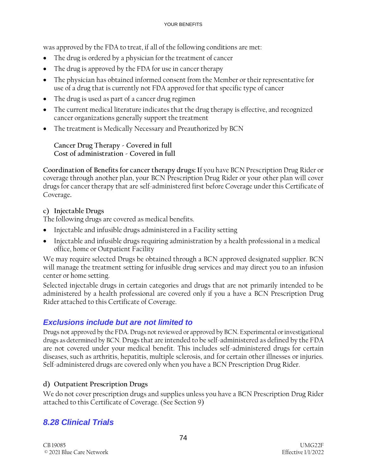was approved by the FDA to treat, if all of the following conditions are met:

- The drug is ordered by a physician for the treatment of cancer
- The drug is approved by the FDA for use in cancer therapy
- The physician has obtained informed consent from the Member or their representative for use of a drug that is currently not FDA approved for that specific type of cancer
- The drug is used as part of a cancer drug regimen
- The current medical literature indicates that the drug therapy is effective, and recognized cancer organizations generally support the treatment
- The treatment is Medically Necessary and Preauthorized by BCN

**Cancer Drug Therapy - Covered in full Cost of administration - Covered in full** 

**Coordination of Benefits for cancer therapy drugs: I**f you have BCN Prescription Drug Rider or coverage through another plan, your BCN Prescription Drug Rider or your other plan will cover drugs for cancer therapy that are self-administered first before Coverage under this Certificate of Coverage**.**

### **c) Injectable Drugs**

The following drugs are covered as medical benefits.

- Injectable and infusible drugs administered in a Facility setting
- Injectable and infusible drugs requiring administration by a health professional in a medical office, home or Outpatient Facility

We may require selected Drugs be obtained through a BCN approved designated supplier. BCN will manage the treatment setting for infusible drug services and may direct you to an infusion center or home setting.

Selected injectable drugs in certain categories and drugs that are not primarily intended to be administered by a health professional are covered only if you a have a BCN Prescription Drug Rider attached to this Certificate of Coverage.

## *Exclusions include but are not limited to*

Drugs not approved by the FDA. Drugs not reviewed or approved by BCN. Experimental or investigational drugs as determined by BCN. Drugs that are intended to be self-administered as defined by the FDA are not covered under your medical benefit. This includes self-administered drugs for certain diseases, such as arthritis, hepatitis, multiple sclerosis, and for certain other illnesses or injuries. Self-administered drugs are covered only when you have a BCN Prescription Drug Rider.

### **d) Outpatient Prescription Drugs**

We do not cover prescription drugs and supplies unless you have a BCN Prescription Drug Rider attached to this Certificate of Coverage. (See Section 9)

## *8.28 Clinical Trials*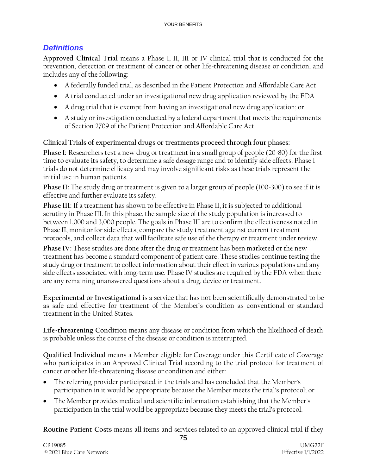#### *Definitions*

**Approved Clinical Trial** means a Phase I, II, III or IV clinical trial that is conducted for the prevention, detection or treatment of cancer or other life-threatening disease or condition, and includes any of the following:

- A federally funded trial, as described in the Patient Protection and Affordable Care Act
- A trial conducted under an investigational new drug application reviewed by the FDA
- A drug trial that is exempt from having an investigational new drug application; or
- A study or investigation conducted by a federal department that meets the requirements of Section 2709 of the Patient Protection and Affordable Care Act.

#### **Clinical Trials of experimental drugs or treatments proceed through four phases:**

**Phase I:** Researchers test a new drug or treatment in a small group of people (20-80) for the first time to evaluate its safety, to determine a safe dosage range and to identify side effects. Phase I trials do not determine efficacy and may involve significant risks as these trials represent the initial use in human patients.

**Phase II:** The study drug or treatment is given to a larger group of people (100-300) to see if it is effective and further evaluate its safety.

**Phase III:** If a treatment has shown to be effective in Phase II, it is subjected to additional scrutiny in Phase III. In this phase, the sample size of the study population is increased to between 1,000 and 3,000 people. The goals in Phase III are to confirm the effectiveness noted in Phase II, monitor for side effects, compare the study treatment against current treatment protocols, and collect data that will facilitate safe use of the therapy or treatment under review.

**Phase IV:** These studies are done after the drug or treatment has been marketed or the new treatment has become a standard component of patient care. These studies continue testing the study drug or treatment to collect information about their effect in various populations and any side effects associated with long-term use. Phase IV studies are required by the FDA when there are any remaining unanswered questions about a drug, device or treatment.

**Experimental or Investigational** is a service that has not been scientifically demonstrated to be as safe and effective for treatment of the Member's condition as conventional or standard treatment in the United States.

**Life-threatening Condition** means any disease or condition from which the likelihood of death is probable unless the course of the disease or condition is interrupted.

**Qualified Individual** means a Member eligible for Coverage under this Certificate of Coverage who participates in an Approved Clinical Trial according to the trial protocol for treatment of cancer or other life-threatening disease or condition and either:

- The referring provider participated in the trials and has concluded that the Member's participation in it would be appropriate because the Member meets the trial's protocol; or
- The Member provides medical and scientific information establishing that the Member's participation in the trial would be appropriate because they meets the trial's protocol.

**Routine Patient Costs** means all items and services related to an approved clinical trial if they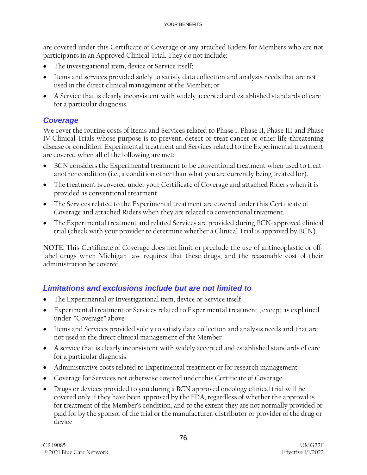are covered under this Certificate of Coverage or any attached Riders for Members who are not participants in an Approved Clinical Trial. They do not include:

- The investigational item, device or Service itself;
- Items and services provided solely to satisfy data collection and analysis needs that are not used in the direct clinical management of the Member; or
- A Service that is clearly inconsistent with widely accepted and established standards of care for a particular diagnosis.

## *Coverage*

We cover the routine costs of items and Services related to Phase I, Phase II, Phase III and Phase IV Clinical Trials whose purpose is to prevent, detect or treat cancer or other life-threatening disease or condition. Experimental treatment and Services related to the Experimental treatment are covered when all of the following are met:

- BCN considers the Experimental treatment to be conventional treatment when used to treat another condition (i.e., a condition other than what you are currently being treated for).
- The treatment is covered under your Certificate of Coverage and attached Riders when it is provided as conventional treatment.
- The Services related to the Experimental treatment are covered under this Certificate of Coverage and attached Riders when they are related to conventional treatment.
- The Experimental treatment and related Services are provided during BCN-approved clinical trial (check with your provider to determine whether a Clinical Trial is approved by BCN).

**NOTE**: This Certificate of Coverage does not limit or preclude the use of antineoplastic or offlabel drugs when Michigan law requires that these drugs, and the reasonable cost of their administration be covered.

# *Limitations and exclusions include but are not limited to*

- The Experimental or Investigational item, device or Service itself
- Experimental treatment or Services related to Experimental treatment , except as explained under "Coverage" above
- Items and Services provided solely to satisfy data collection and analysis needs and that are not used in the direct clinical management of the Member
- A service that is clearly inconsistent with widely accepted and established standards of care for a particular diagnosis
- Administrative costs related to Experimental treatment or for research management
- Coverage for Services not otherwise covered under this Certificate of Coverage
- Drugs or devices provided to you during a BCN approved oncology clinical trial will be covered only if they have been approved by the FDA, regardless of whether the approval is for treatment of the Member's condition, and to the extent they are not normally provided or paid for by the sponsor of the trial or the manufacturer, distributor or provider of the drug or device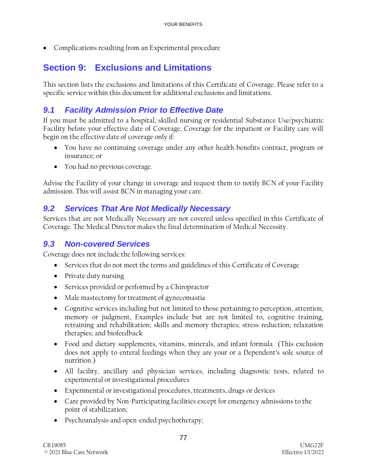• Complications resulting from an Experimental procedure

# **Section 9: Exclusions and Limitations**

This section lists the exclusions and limitations of this Certificate of Coverage. Please refer to a specific service within this document for additional exclusions and limitations.

## *9.1 Facility Admission Prior to Effective Date*

If you must be admitted to a hospital, skilled nursing or residential Substance Use/psychiatric Facility before your effective date of Coverage, Coverage for the inpatient or Facility care will begin on the effective date of coverage only if:

- You have no continuing coverage under any other health benefits contract, program or insurance; or
- You had no previous coverage.

Advise the Facility of your change in coverage and request them to notify BCN of your Facility admission. This will assist BCN in managing your care.

## *9.2 Services That Are Not Medically Necessary*

Services that are not Medically Necessary are not covered unless specified in this Certificate of Coverage. The Medical Director makes the final determination of Medical Necessity.

#### *9.3 Non-covered Services*

Coverage does not include the following services:

- Services that do not meet the terms and guidelines of this Certificate of Coverage
- Private duty nursing
- Services provided or performed by a Chiropractor
- Male mastectomy for treatment of gynecomastia
- Cognitive services including but not limited to those pertaining to perception, attention, memory or judgment, Examples include but are not limited to, cognitive training, retraining and rehabilitation; skills and memory therapies; stress reduction; relaxation therapies; and biofeedback
- Food and dietary supplements, vitamins, minerals, and infant formula (This exclusion does not apply to enteral feedings when they are your or a Dependent's sole source of nutrition.)
- All facility, ancillary and physician services, including diagnostic tests, related to experimental or investigational procedures
- Experimental or investigational procedures, treatments, drugs or devices
- Care provided by Non-Participating facilities except for emergency admissions to the point of stabilization;
- Psychoanalysis and open-ended psychotherapy;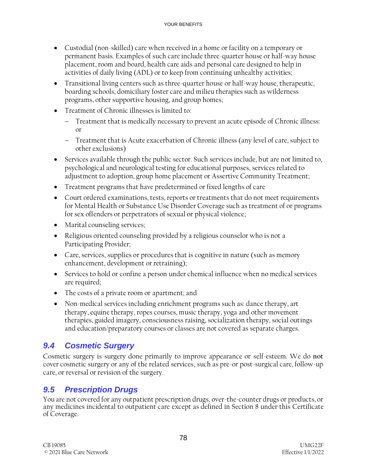- Custodial (non-skilled) care when received in a home or facility on a temporary or permanent basis. Examples of such care include three-quarter house or half-way house placement, room and board, health care aids and personal care designed to help in activities of daily living (ADL) or to keep from continuing unhealthy activities;
- Transitional living centers such as three-quarter house or half-way house, therapeutic, boarding schools, domiciliary foster care and milieu therapies such as wilderness programs, other supportive housing, and group homes;
- Treatment of Chronic illnesses is limited to:
	- − Treatment that is medically necessary to prevent an acute episode of Chronic illness: or
	- − Treatment that is Acute exacerbation of Chronic illness (any level of care, subject to other exclusions)
- Services available through the public sector. Such services include, but are not limited to, psychological and neurological testing for educational purposes, services related to adjustment to adoption, group home placement or Assertive Community Treatment;
- Treatment programs that have predetermined or fixed lengths of care
- Court ordered examinations, tests, reports or treatments that do not meet requirements for Mental Health or Substance Use Disorder Coverage such as treatment of or programs for sex offenders or perpetrators of sexual or physical violence;
- Marital counseling services;
- Religious oriented counseling provided by a religious counselor who is not a Participating Provider;
- Care, services, supplies or procedures that is cognitive in nature (such as memory enhancement, development or retraining);
- Services to hold or confine a person under chemical influence when no medical services are required;
- The costs of a private room or apartment; and
- Non-medical services including enrichment programs such as: dance therapy, art therapy, equine therapy, ropes courses, music therapy, yoga and other movement therapies, guided imagery, consciousness raising, socialization therapy, social outings and education/preparatory courses or classes are not covered as separate charges.

# *9.4 Cosmetic Surgery*

Cosmetic surgery is surgery done primarily to improve appearance or self-esteem. We do **not**  cover cosmetic surgery or any of the related services, such as pre-or post-surgical care, follow-up care, or reversal or revision of the surgery.

# *9.5 Prescription Drugs*

You are not covered for any outpatient prescription drugs, over-the-counter drugs or products, or any medicines incidental to outpatient care except as defined in Section 8 under this Certificate of Coverage.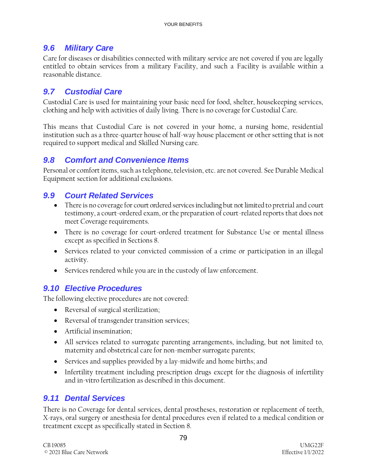#### *9.6 Military Care*

Care for diseases or disabilities connected with military service are not covered if you are legally entitled to obtain services from a military Facility, and such a Facility is available within a reasonable distance.

## *9.7 Custodial Care*

Custodial Care is used for maintaining your basic need for food, shelter, housekeeping services, clothing and help with activities of daily living. There is no coverage for Custodial Care.

This means that Custodial Care is not covered in your home, a nursing home, residential institution such as a three-quarter house of half-way house placement or other setting that is not required to support medical and Skilled Nursing care.

#### *9.8 Comfort and Convenience Items*

Personal or comfort items, such as telephone, television, etc. are not covered. See Durable Medical Equipment section for additional exclusions.

## *9.9 Court Related Services*

- There is no coverage for court ordered services including but not limited to pretrial and court testimony, a court-ordered exam, or the preparation of court-related reports that does not meet Coverage requirements.
- There is no coverage for court-ordered treatment for Substance Use or mental illness except as specified in Sections 8.
- Services related to your convicted commission of a crime or participation in an illegal activity.
- Services rendered while you are in the custody of law enforcement.

#### *9.10 Elective Procedures*

The following elective procedures are not covered:

- Reversal of surgical sterilization;
- Reversal of transgender transition services;
- Artificial insemination;
- All services related to surrogate parenting arrangements, including, but not limited to, maternity and obstetrical care for non-member surrogate parents;
- Services and supplies provided by a lay-midwife and home births; and
- Infertility treatment including prescription drugs except for the diagnosis of infertility and in-vitro fertilization as described in this document.

## *9.11 Dental Services*

There is no Coverage for dental services, dental prostheses, restoration or replacement of teeth, X-rays, oral surgery or anesthesia for dental procedures even if related to a medical condition or treatment except as specifically stated in Section 8.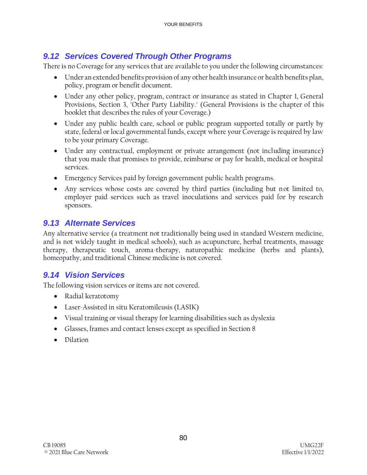# *9.12 Services Covered Through Other Programs*

There is no Coverage for any services that are available to you under the following circumstances:

- Under an extended benefits provision of any other health insurance or health benefits plan, policy, program or benefit document.
- Under any other policy, program, contract or insurance as stated in Chapter 1, General Provisions, Section 3, "Other Party Liability." (General Provisions is the chapter of this booklet that describes the rules of your Coverage.)
- Under any public health care, school or public program supported totally or partly by state, federal or local governmental funds, except where your Coverage is required by law to be your primary Coverage.
- Under any contractual, employment or private arrangement (not including insurance) that you made that promises to provide, reimburse or pay for health, medical or hospital services.
- Emergency Services paid by foreign government public health programs.
- Any services whose costs are covered by third parties (including but not limited to, employer paid services such as travel inoculations and services paid for by research sponsors.

# *9.13 Alternate Services*

Any alternative service (a treatment not traditionally being used in standard Western medicine, and is not widely taught in medical schools), such as acupuncture, herbal treatments, massage therapy, therapeutic touch, aroma-therapy, naturopathic medicine (herbs and plants), homeopathy, and traditional Chinese medicine is not covered.

## *9.14 Vision Services*

The following vision services or items are not covered.

- Radial keratotomy
- Laser-Assisted in situ Keratomileusis (LASIK)
- Visual training or visual therapy for learning disabilities such as dyslexia
- Glasses, frames and contact lenses except as specified in Section 8
- Dilation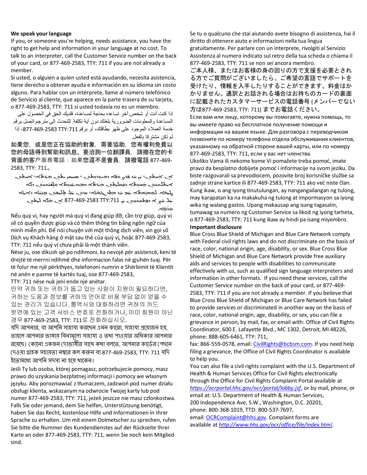#### **We speak your language**

If you, or someone you're helping, needs assistance, you have the right to get help and information in your language at no cost. To talk to an interpreter, call the Customer Service number on the back of your card, or 877-469-2583, TTY: 711 if you are not already a member.

Si usted, o alguien a quien usted está ayudando, necesita asistencia, tiene derecho a obtener ayuda e información en su idioma sin costo alguno. Para hablar con un intérprete, llame al número telefónico de Servicio al cliente, que aparece en la parte trasera de su tarjeta, o 877-469-2583, TTY: 711 si usted todavía no es un miembro.

إذا كنت أنت أو شخص آخر تساعده بحاجة لمساعدة، فلديك الحق في الحصول على المساعدة والمعلومات الضرورية بلغتك دون أية تكلفة. للتحدث إلى مترجم اتصل برقم خدمة العمالء الموجود على ظهر بطاقتك، أو برقم :711TTY ،877-469-2583 إذا لم تكن مشتركا بالفعل.

如果您,或是您正在協助的對象,需要協助,您有權利免費以 您的母語得到幫助和訊息。要洽詢一位翻譯員,請撥在您的卡 背面的客戶服務電話;如果您還不是會員,請撥電話 877-469- 2583, TTY: 711。

ے ماس پر ۱۳۵۰م تو سے مسلم دے ماہ تو سواس ہے کہ جو دے ماہ بر دیکھ بر حرید<br>مسلم اس اللہ کے مسلم میں اس کا مقدم ہے کہ اس کا مقدم کر کر کا مقدم کر کر کا مقدم کر کر کر کر کر کر کر کر کر کر . . ܲ ܵ ܲ . ܲ ܵ ܲ . سرد ۱۳۰۰ میلادی کشور در استاد به ساخت استاد کشور میکند.<br>سرد از سایت استاد به استاد کشور استاد به ساخت استاد به ساخت استاد کشور استاد کشور استاد کشور استاد کشور استاد ܵ . ۔<br>.. . ܵ . ܵ ܵ ܐ. ܛ ܝܡ <sup>ܡ</sup> ܵ ܡ ܙ ܠ ܗ <sup>ܡ</sup> ܲ ܐ ܥܲ <sup>ܬ</sup> <sup>ܐ</sup> ܵ ܢ ܪܓܡܵ ܕ ܡ ܬ ܚ ، <sup>ܐ</sup> ܲ ܐ ܕܐ ܝܢ ܢ ܲܢ ܸܡܢܝ ܠ ܹܬܠ ܝܦܘ ܲܢ ܥܲ ܩܪܘ ܲ ܵ .<br>. ܵ ܵ ܵ ہے۔ ، حساب عبد کی معامل کی کہا ہے ، حساب کے ساتھ ہے۔<br>جلا سَے نہ دیوامماحت پ TTY:711 کی جس کے مالک لباہی . . ے<br>جوتی ج .<br>..

Nếu quý vị, hay người mà quý vị đang giúp đỡ, cần trợ giúp, quý vị sẽ có quyền được giúp và có thêm thông tin bằng ngôn ngữ của mình miễn phí. Để nói chuyện với một thông dịch viên, xin gọi số Dịch vụ Khách hàng ở mặt sau thẻ của quý vị, hoặc 877-469-2583, TTY: 711 nếu quý vị chưa phải là một thành viên.

Nëse ju, ose dikush që po ndihmoni, ka nevojë për asistencë, keni të drejtë të merrni ndihmë dhe informacion falas në gjuhën tuaj. Për të folur me një përkthyes, telefononi numrin e Shërbimit të Klientit në anën e pasme të kartës tuaj, ose 877-469-2583,

#### TTY: 711 nëse nuk jeni ende një anëtar.

만약 귀하 또는 귀하가 돕고 있는 사람이 지원이 필요하다면, 귀하는 도움과 정보를 귀하의 언어로 비용 부담 없이 얻을 수 있는 권리가 있습니다. 통역사와 대화하려면 귀하의 카드 뒷면에 있는 고객 서비스 번호로 전화하거나, 이미 회원이 아닌 경우 877-469-2583, TTY: 711로 전화하십시오.

যদি আপনার, বা আপনি সাহায্য করছেন এমন কারো, সাহায্য প্রয়োজন হয়, তাহলে আপনার ভাষায় বিনামূল্যে সাহায্য ও তথ্য পাওয়ার অধিকার আপনার রয়েছে। কোনো একজন দোভাষীর সাথে কথা বলতে, আপনার কার্ডের পেছনে <u>দেওয়া গ্রাহক সহায়তা নম্বরে কল করুন বা 877-469-2583, TTY: 711 যদি</u> ইতোমধ্যে আপনি সদস্য না হযে থাকেন।

Jeśli Ty lub osoba, której pomagasz, potrzebujecie pomocy, masz prawo do uzyskania bezpłatnej informacji i pomocy we własnym języku. Aby porozmawiać z tłumaczem, zadzwoń pod numer działu obsługi klienta, wskazanym na odwrocie Twojej karty lub pod numer 877-469-2583, TTY: 711, jeżeli jeszcze nie masz członkostwa. Falls Sie oder jemand, dem Sie helfen, Unterstützung benötigt, haben Sie das Recht, kostenlose Hilfe und Informationen in Ihrer Sprache zu erhalten. Um mit einem Dolmetscher zu sprechen, rufen Sie bitte die Nummer des Kundendienstes auf der Rückseite Ihrer Karte an oder 877-469-2583, TTY: 711, wenn Sie noch kein Mitglied sind.

Se tu o qualcuno che stai aiutando avete bisogno di assistenza, hai il diritto di ottenere aiuto e informazioni nella tua lingua gratuitamente. Per parlare con un interprete, rivolgiti al Servizio Assistenza al numero indicato sul retro della tua scheda o chiama il 877-469-2583, TTY: 711 se non sei ancora membro.

ご本人様、またはお客様の身の回りの方で支援を必要とされ る方でご質問がございましたら、ご希望の言語でサポートを 受けたり、情報を入手したりすることができます。料金はか かりません。通訳とお話される場合はお持ちのカードの裏面 に記載されたカスタマーサービスの電話番号 (メンバーでない 方は877-469-2583, TTY: 711) までお電話ください。

Если вам или лицу, которому вы помогаете, нужна помощь, то вы имеете право на бесплатное получение помощи и информации на вашем языке. Для разговора с переводчиком позвоните по номеру телефона отдела обслуживания клиентов, указанному на обратной стороне вашей карты, или по номеру 877-469-2583, TTY: 711, если у вас нет членства.

Ukoliko Vama ili nekome kome Vi pomažete treba pomoć, imate pravo da besplatno dobijete pomoć i informacije na svom jeziku. Da biste razgovarali sa prevodiocem, pozovite broj korisničke službe sa zadnje strane kartice ili 877-469-2583, TTY: 711 ako već niste član. Kung ikaw, o ang iyong tinutulungan, ay nangangailangan ng tulong, may karapatan ka na makakuha ng tulong at impormasyon sa iyong wika ng walang gastos. Upang makausap ang isang tagasalin, tumawag sa numero ng Customer Service sa likod ng iyong tarheta, o 877-469-2583, TTY: 711 kung ikaw ay hindi pa isang miyembro. **Important disclosure** 

Blue Cross Blue Shield of Michigan and Blue Care Network comply with Federal civil rights laws and do not discriminate on the basis of race, color, national origin, age, disability, or sex. Blue Cross Blue Shield of Michigan and Blue Care Network provide free auxiliary aids and services to people with disabilities to communicate effectively with us, such as qualified sign language interpreters and information in other formats. If you need these services, call the Customer Service number on the back of your card, or 877-469- 2583, TTY: 711 if you are not already a member. If you believe that Blue Cross Blue Shield of Michigan or Blue Care Network has failed to provide services or discriminated in another way on the basis of race, color, national origin, age, disability, or sex, you can file a grievance in person, by mail, fax, or email with: Office of Civil Rights Coordinator, 600 E. Lafayette Blvd., MC 1302, Detroit, MI 48226, phone: 888-605-6461, TTY: 711,

fax: 866-559-0578, email[: CivilRights@bcbsm.com.](mailto:CivilRights@bcbsm.com) If you need help filing a grievance, the Office of Civil Rights Coordinator is available to help you.

You can also file a civil rights complaint with the U.S. Department of Health & Human Services Office for Civil Rights electronically through the Office for Civil Rights Complaint Portal available at *<https://ocrportal.hhs.gov/ocr/portal/lobby.jsf>*, or by mail, phone, or email at: U.S. Department of Health & Human Services, 200 Independence Ave, S.W., Washington, D.C. 20201, phone: 800-368-1019, TTD: 800-537-7697,

email: [OCRComplaint@hhs.gov.](mailto:OCRComplaint@hhs.gov) Complaint forms are available at *<http://www.hhs.gov/ocr/office/file/index.html>*.